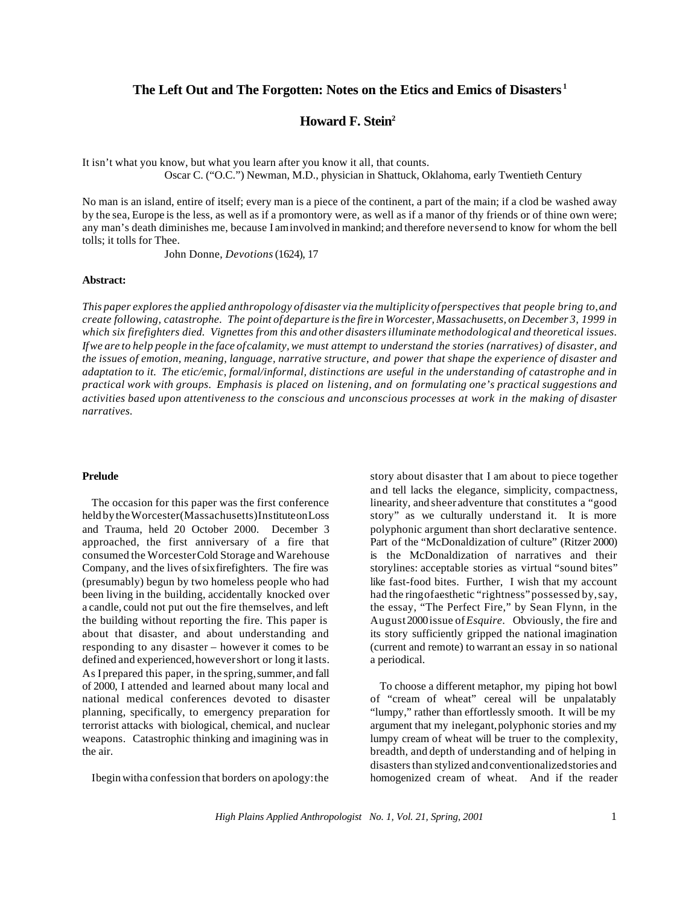# **The Left Out and The Forgotten: Notes on the Etics and Emics of Disasters <sup>1</sup>**

# **Howard F. Stein<sup>2</sup>**

It isn't what you know, but what you learn after you know it all, that counts.

Oscar C. ("O.C.") Newman, M.D., physician in Shattuck, Oklahoma, early Twentieth Century

No man is an island, entire of itself; every man is a piece of the continent, a part of the main; if a clod be washed away by the sea, Europe is the less, as well as if a promontory were, as well as if a manor of thy friends or of thine own were; any man's death diminishes me, because I aminvolved in mankind; and therefore neversend to know for whom the bell tolls; it tolls for Thee.

John Donne, *Devotions* (1624), 17

#### **Abstract:**

*This paper exploresthe applied anthropology ofdisaster via the multiplicity ofperspectives that people bring to,and create following, catastrophe. The point ofdeparture isthe fire in Worcester, Massachusetts, on December 3, 1999 in which six firefighters died. Vignettes from this and other disastersilluminate methodological and theoretical issues. Ifwe are to help people in the face of calamity, we must attempt to understand the stories (narratives) of disaster, and the issues of emotion, meaning, language, narrative structure, and power that shape the experience of disaster and adaptation to it. The etic/emic, formal/informal, distinctions are useful in the understanding of catastrophe and in practical work with groups. Emphasis is placed on listening, and on formulating one's practical suggestions and activities based upon attentiveness to the conscious and unconscious processes at work in the making of disaster narratives.*

#### **Prelude**

The occasion for this paper was the first conference held bytheWorcester(Massachusetts)Institute on Loss and Trauma, held 20 October 2000. December 3 approached, the first anniversary of a fire that consumed the WorcesterCold Storage and Warehouse Company, and the lives of six firefighters. The fire was (presumably) begun by two homeless people who had been living in the building, accidentally knocked over a candle, could not put out the fire themselves, and left the building without reporting the fire. This paper is about that disaster, and about understanding and responding to any disaster – however it comes to be defined and experienced,howevershort or long it lasts. As I prepared this paper, in the spring, summer, and fall of 2000, I attended and learned about many local and national medical conferences devoted to disaster planning, specifically, to emergency preparation for terrorist attacks with biological, chemical, and nuclear weapons. Catastrophic thinking and imagining was in the air.

Ibegin witha confession that borders on apology:the

story about disaster that I am about to piece together and tell lacks the elegance, simplicity, compactness, linearity, and sheer adventure that constitutes a "good story" as we culturally understand it. It is more polyphonic argument than short declarative sentence. Part of the "McDonaldization of culture" (Ritzer 2000) is the McDonaldization of narratives and their storylines: acceptable stories as virtual "sound bites" like fast-food bites. Further, I wish that my account had the ringofaesthetic "rightness"possessed by,say, the essay, "The Perfect Fire," by Sean Flynn, in the August 2000issue of*Esquire*. Obviously, the fire and its story sufficiently gripped the national imagination (current and remote) to warrant an essay in so national a periodical.

To choose a different metaphor, my piping hot bowl of "cream of wheat" cereal will be unpalatably "lumpy," rather than effortlessly smooth. It will be my argument that my inelegant,polyphonic stories and my lumpy cream of wheat will be truer to the complexity, breadth, and depth of understanding and of helping in disastersthan stylized andconventionalizedstories and homogenized cream of wheat. And if the reader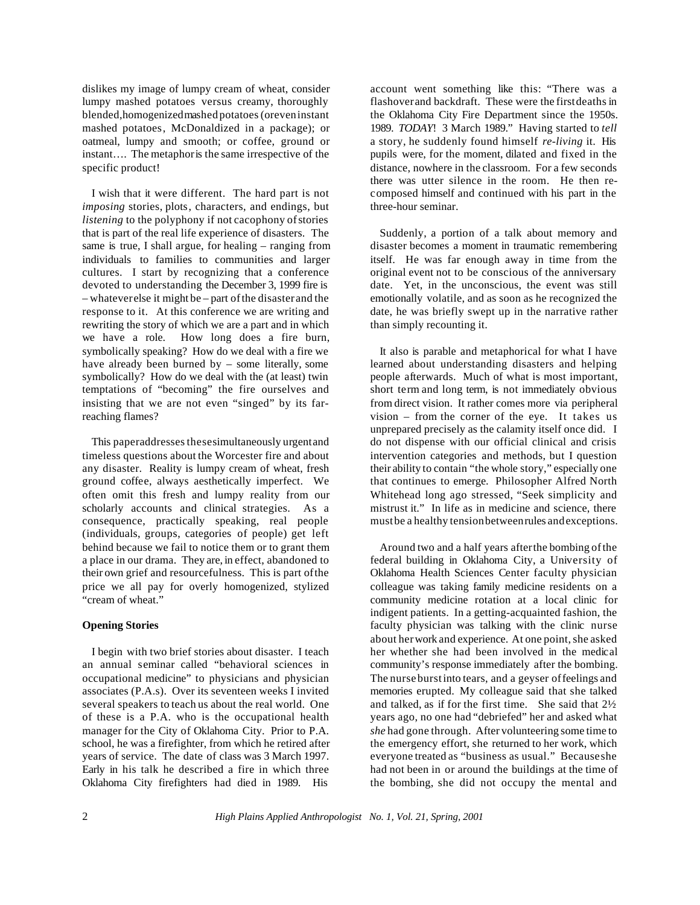dislikes my image of lumpy cream of wheat, consider lumpy mashed potatoes versus creamy, thoroughly blended,homogenizedmashedpotatoes(oreveninstant mashed potatoes, McDonaldized in a package); or oatmeal, lumpy and smooth; or coffee, ground or instant.... The metaphoris the same irrespective of the specific product!

I wish that it were different. The hard part is not *imposing* stories, plots, characters, and endings, but *listening* to the polyphony if not cacophony of stories that is part of the real life experience of disasters. The same is true, I shall argue, for healing – ranging from individuals to families to communities and larger cultures. I start by recognizing that a conference devoted to understanding the December 3, 1999 fire is  $-$  whatever else it might be  $-$  part of the disaster and the response to it. At this conference we are writing and rewriting the story of which we are a part and in which we have a role. How long does a fire burn, symbolically speaking? How do we deal with a fire we have already been burned by – some literally, some symbolically? How do we deal with the (at least) twin temptations of "becoming" the fire ourselves and insisting that we are not even "singed" by its farreaching flames?

This paperaddresses thesesimultaneously urgent and timeless questions about the Worcester fire and about any disaster. Reality is lumpy cream of wheat, fresh ground coffee, always aesthetically imperfect. We often omit this fresh and lumpy reality from our scholarly accounts and clinical strategies. As a consequence, practically speaking, real people (individuals, groups, categories of people) get left behind because we fail to notice them or to grant them a place in our drama. They are, in effect, abandoned to their own grief and resourcefulness. This is part ofthe price we all pay for overly homogenized, stylized "cream of wheat."

## **Opening Stories**

I begin with two brief stories about disaster. I teach an annual seminar called "behavioral sciences in occupational medicine" to physicians and physician associates (P.A.s). Over its seventeen weeks I invited several speakers to teach us about the real world. One of these is a P.A. who is the occupational health manager for the City of Oklahoma City. Prior to P.A. school, he was a firefighter, from which he retired after years of service. The date of class was 3 March 1997. Early in his talk he described a fire in which three Oklahoma City firefighters had died in 1989. His

account went something like this: "There was a flashover and backdraft. These were the first deaths in the Oklahoma City Fire Department since the 1950s. 1989. *TODAY*! 3 March 1989." Having started to *tell* a story, he suddenly found himself *re-living* it. His pupils were, for the moment, dilated and fixed in the distance, nowhere in the classroom. For a few seconds there was utter silence in the room. He then recomposed himself and continued with his part in the three-hour seminar.

Suddenly, a portion of a talk about memory and disaster becomes a moment in traumatic remembering itself. He was far enough away in time from the original event not to be conscious of the anniversary date. Yet, in the unconscious, the event was still emotionally volatile, and as soon as he recognized the date, he was briefly swept up in the narrative rather than simply recounting it.

It also is parable and metaphorical for what I have learned about understanding disasters and helping people afterwards. Much of what is most important, short term and long term, is not immediately obvious from direct vision. It rather comes more via peripheral vision – from the corner of the eye. It takes us unprepared precisely as the calamity itself once did. I do not dispense with our official clinical and crisis intervention categories and methods, but I question their ability to contain "the whole story," especially one that continues to emerge. Philosopher Alfred North Whitehead long ago stressed, "Seek simplicity and mistrust it." In life as in medicine and science, there mustbe a healthy tensionbetweenrules andexceptions.

Around two and a half years after the bombing of the federal building in Oklahoma City, a University of Oklahoma Health Sciences Center faculty physician colleague was taking family medicine residents on a community medicine rotation at a local clinic for indigent patients. In a getting-acquainted fashion, the faculty physician was talking with the clinic nurse about herwork and experience. At one point, she asked her whether she had been involved in the medical community's response immediately after the bombing. The nurseburstinto tears, and a geyser offeelings and memories erupted. My colleague said that she talked and talked, as if for the first time. She said that 2½ years ago, no one had "debriefed" her and asked what *she* had gone through. After volunteering some time to the emergency effort, she returned to her work, which everyone treated as "business as usual." Becauseshe had not been in or around the buildings at the time of the bombing, she did not occupy the mental and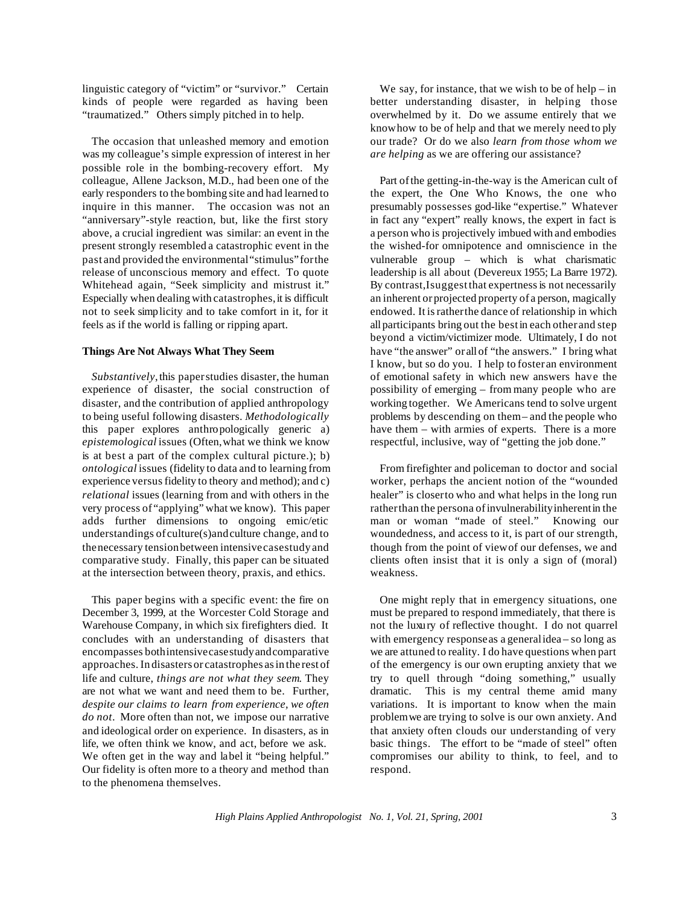linguistic category of "victim" or "survivor." Certain kinds of people were regarded as having been "traumatized." Others simply pitched in to help.

The occasion that unleashed memory and emotion was my colleague's simple expression of interest in her possible role in the bombing-recovery effort. My colleague, Allene Jackson, M.D., had been one of the early responders to the bombing site and had learned to inquire in this manner. The occasion was not an "anniversary"-style reaction, but, like the first story above, a crucial ingredient was similar: an event in the present strongly resembled a catastrophic event in the past and provided the environmental"stimulus"forthe release of unconscious memory and effect. To quote Whitehead again, "Seek simplicity and mistrust it." Especially when dealing with catastrophes, it is difficult not to seek simplicity and to take comfort in it, for it feels as if the world is falling or ripping apart.

## **Things Are Not Always What They Seem**

*Substantively*, this paper studies disaster, the human experience of disaster, the social construction of disaster, and the contribution of applied anthropology to being useful following disasters. *Methodologically* this paper explores anthropologically generic a) *epistemological* issues (Often,what we think we know is at best a part of the complex cultural picture.); b) *ontological* issues (fidelity to data and to learning from experience versus fidelity to theory and method); and c) *relational* issues (learning from and with others in the very process of "applying" what we know). This paper adds further dimensions to ongoing emic/etic understandings of culture(s)andculture change, and to thenecessary tensionbetween intensivecasestudyand comparative study. Finally, this paper can be situated at the intersection between theory, praxis, and ethics.

This paper begins with a specific event: the fire on December 3, 1999, at the Worcester Cold Storage and Warehouse Company, in which six firefighters died. It concludes with an understanding of disasters that encompasses both intensive case study and comparative approaches. In disasters or catastrophes as in the rest of life and culture, *things are not what they seem*. They are not what we want and need them to be. Further, *despite our claims to learn from experience, we often do not*. More often than not, we impose our narrative and ideological order on experience. In disasters, as in life, we often think we know, and act, before we ask. We often get in the way and label it "being helpful." Our fidelity is often more to a theory and method than to the phenomena themselves.

We say, for instance, that we wish to be of  $help-in$ better understanding disaster, in helping those overwhelmed by it. Do we assume entirely that we knowhow to be of help and that we merely need to ply our trade? Or do we also *learn from those whom we are helping* as we are offering our assistance?

Part of the getting-in-the-way is the American cult of the expert, the One Who Knows, the one who presumably possesses god-like "expertise." Whatever in fact any "expert" really knows, the expert in fact is a person who is projectively imbued with and embodies the wished-for omnipotence and omniscience in the vulnerable group – which is what charismatic leadership is all about (Devereux 1955; La Barre 1972). By contrast, I suggest that expertness is not necessarily an inherent orprojected property of a person, magically endowed. It is ratherthe dance of relationship in which all participants bring out the bestin each other and step beyond a victim/victimizer mode. Ultimately, I do not have "the answer" or all of "the answers." I bring what I know, but so do you. I help to fosteran environment of emotional safety in which new answers have the possibility of emerging – from many people who are working together. We Americans tend to solve urgent problems by descending on them– and the people who have them – with armies of experts. There is a more respectful, inclusive, way of "getting the job done."

From firefighter and policeman to doctor and social worker, perhaps the ancient notion of the "wounded healer" is closerto who and what helps in the long run ratherthan the persona ofinvulnerabilityinherentin the man or woman "made of steel." Knowing our woundedness, and access to it, is part of our strength, though from the point of viewof our defenses, we and clients often insist that it is only a sign of (moral) weakness.

One might reply that in emergency situations, one must be prepared to respond immediately, that there is not the luxury of reflective thought. I do not quarrel with emergency responseas a generalidea – so long as we are attuned to reality. I do have questions when part of the emergency is our own erupting anxiety that we try to quell through "doing something," usually dramatic. This is my central theme amid many variations. It is important to know when the main problemwe are trying to solve is our own anxiety. And that anxiety often clouds our understanding of very basic things. The effort to be "made of steel" often compromises our ability to think, to feel, and to respond.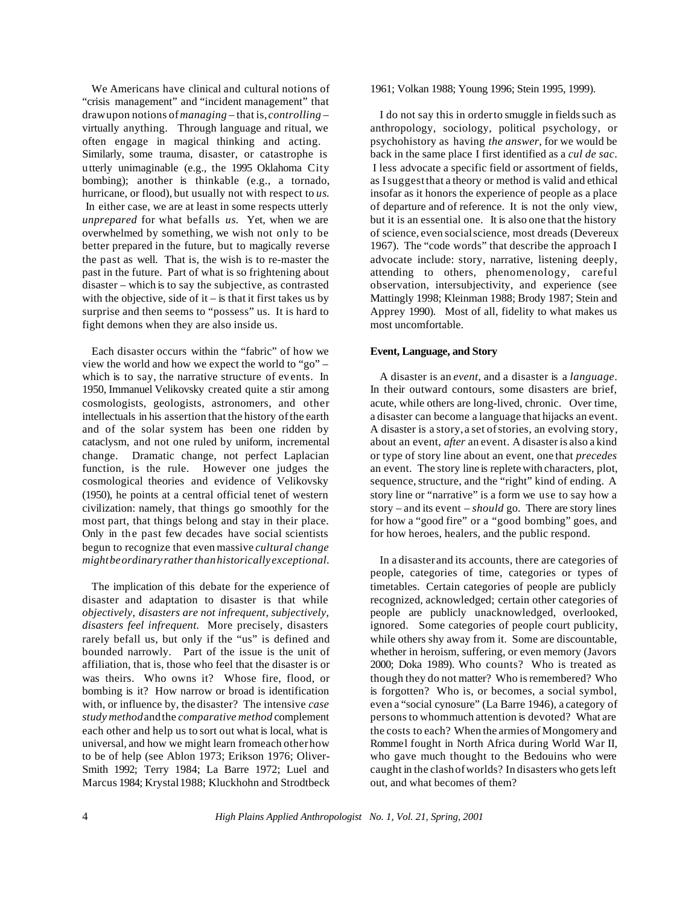We Americans have clinical and cultural notions of "crisis management" and "incident management" that drawupon notions of*managing* – that is,*controlling* – virtually anything. Through language and ritual, we often engage in magical thinking and acting. Similarly, some trauma, disaster, or catastrophe is utterly unimaginable (e.g., the 1995 Oklahoma City bombing); another is thinkable (e.g., a tornado, hurricane, or flood), but usually not with respect to *us*. In either case, we are at least in some respects utterly *unprepared* for what befalls *us*. Yet, when we are overwhelmed by something, we wish not only to be better prepared in the future, but to magically reverse the past as well. That is, the wish is to re-master the past in the future. Part of what is so frightening about disaster – which is to say the subjective, as contrasted with the objective, side of it – is that it first takes us by surprise and then seems to "possess" us. It is hard to fight demons when they are also inside us.

Each disaster occurs within the "fabric" of how we view the world and how we expect the world to "go" – which is to say, the narrative structure of events. In 1950, Immanuel Velikovsky created quite a stir among cosmologists, geologists, astronomers, and other intellectuals in his assertion that the history ofthe earth and of the solar system has been one ridden by cataclysm, and not one ruled by uniform, incremental change. Dramatic change, not perfect Laplacian function, is the rule. However one judges the cosmological theories and evidence of Velikovsky (1950), he points at a central official tenet of western civilization: namely, that things go smoothly for the most part, that things belong and stay in their place. Only in the past few decades have social scientists begun to recognize that even massive *cultural change mightbeordinaryratherthanhistoricallyexceptional.*

The implication of this debate for the experience of disaster and adaptation to disaster is that while *objectively, disasters are not infrequent, subjectively, disasters feel infrequent.* More precisely, disasters rarely befall us, but only if the "us" is defined and bounded narrowly. Part of the issue is the unit of affiliation, that is, those who feel that the disaster is or was theirs. Who owns it? Whose fire, flood, or bombing is it? How narrow or broad is identification with, or influence by, the disaster? The intensive *case study method*andthe *comparative method* complement each other and help us to sort out what is local, what is universal, and how we might learn fromeach otherhow to be of help (see Ablon 1973; Erikson 1976; Oliver-Smith 1992; Terry 1984; La Barre 1972; Luel and Marcus 1984; Krystal 1988; Kluckhohn and Strodtbeck

1961; Volkan 1988; Young 1996; Stein 1995, 1999).

I do not say this in order to smuggle in fields such as anthropology, sociology, political psychology, or psychohistory as having *the answer*, for we would be back in the same place I first identified as a *cul de sac*. I less advocate a specific field or assortment of fields, as Isuggestthat a theory or method is valid and ethical insofar as it honors the experience of people as a place of departure and of reference. It is not the only view, but it is an essential one. It is also one that the history of science, even socialscience, most dreads (Devereux 1967). The "code words" that describe the approach I advocate include: story, narrative, listening deeply, attending to others, phenomenology, careful observation, intersubjectivity, and experience (see Mattingly 1998; Kleinman 1988; Brody 1987; Stein and Apprey 1990). Most of all, fidelity to what makes us most uncomfortable.

#### **Event, Language, and Story**

A disaster is an *event*, and a disaster is a *language*. In their outward contours, some disasters are brief, acute, while others are long-lived, chronic. Over time, a disaster can become a language that hijacks an event. A disaster is a story, a set of stories, an evolving story, about an event, *after* an event. A disaster is also a kind or type of story line about an event, one that *precedes* an event. The story line is replete with characters, plot, sequence, structure, and the "right" kind of ending. A story line or "narrative" is a form we use to say how a story – and its event – *should* go. There are story lines for how a "good fire" or a "good bombing" goes, and for how heroes, healers, and the public respond.

In a disasterand its accounts, there are categories of people, categories of time, categories or types of timetables. Certain categories of people are publicly recognized, acknowledged; certain other categories of people are publicly unacknowledged, overlooked, ignored. Some categories of people court publicity, while others shy away from it. Some are discountable, whether in heroism, suffering, or even memory (Javors 2000; Doka 1989). Who counts? Who is treated as though they do not matter? Who is remembered? Who is forgotten? Who is, or becomes, a social symbol, even a "social cynosure" (La Barre 1946), a category of persons to whommuch attention is devoted? What are the costs to each? When the armies of Mongomery and Rommel fought in North Africa during World War II, who gave much thought to the Bedouins who were caught in the clashofworlds? In disasters who gets left out, and what becomes of them?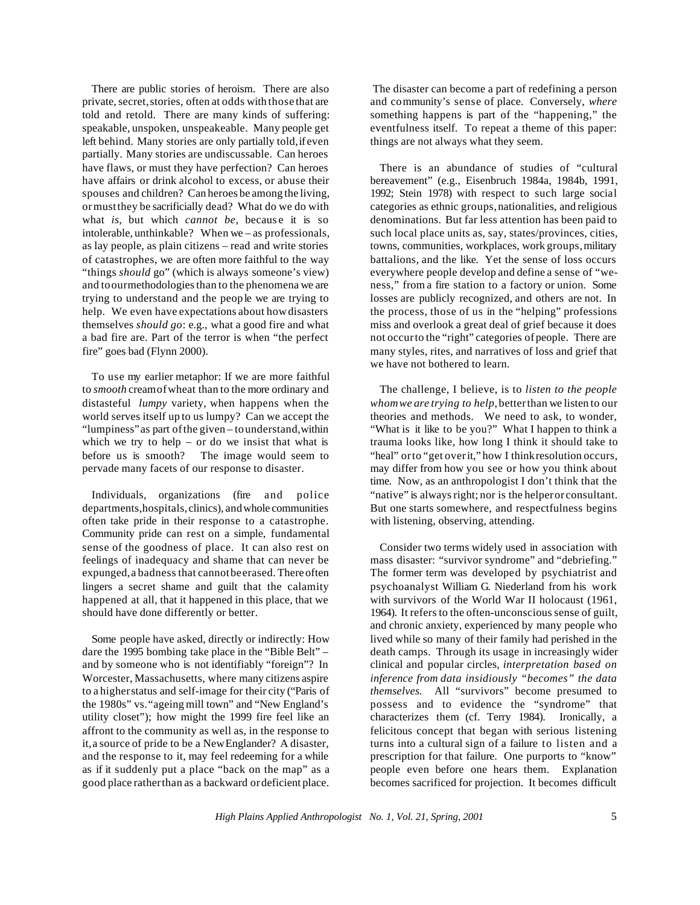There are public stories of heroism. There are also private, secret, stories, often at odds with those that are told and retold. There are many kinds of suffering: speakable, unspoken, unspeakeable. Many people get left behind. Many stories are only partially told, if even partially. Many stories are undiscussable. Can heroes have flaws, or must they have perfection? Can heroes have affairs or drink alcohol to excess, or abuse their spouses and children? Can heroes be among the living, ormustthey be sacrificially dead? What do we do with what *is*, but which *cannot be*, because it is so intolerable, unthinkable? When we – as professionals, as lay people, as plain citizens – read and write stories of catastrophes, we are often more faithful to the way "things *should* go" (which is always someone's view) and toourmethodologiesthan to the phenomena we are trying to understand and the people we are trying to help. We even have expectations about howdisasters themselves *should go*: e.g., what a good fire and what a bad fire are. Part of the terror is when "the perfect fire" goes bad (Flynn 2000).

To use my earlier metaphor: If we are more faithful to *smooth* creamofwheat than to the more ordinary and distasteful *lumpy* variety, when happens when the world serves itself up to us lumpy? Can we accept the "lumpiness"as part ofthe given – tounderstand,within which we try to help  $-$  or do we insist that what is before us is smooth? The image would seem to pervade many facets of our response to disaster.

Individuals, organizations (fire and police departments, hospitals, clinics), and whole communities often take pride in their response to a catastrophe. Community pride can rest on a simple, fundamental sense of the goodness of place. It can also rest on feelings of inadequacy and shame that can never be expunged,a badness that cannotbeerased. There often lingers a secret shame and guilt that the calamity happened at all, that it happened in this place, that we should have done differently or better.

Some people have asked, directly or indirectly: How dare the 1995 bombing take place in the "Bible Belt" – and by someone who is not identifiably "foreign"? In Worcester, Massachusetts, where many citizens aspire to a higherstatus and self-image for their city ("Paris of the 1980s" vs."ageing mill town" and "New England's utility closet"); how might the 1999 fire feel like an affront to the community as well as, in the response to it,a source of pride to be a NewEnglander? A disaster, and the response to it, may feel redeeming for a while as if it suddenly put a place "back on the map" as a good place ratherthan as a backward ordeficient place.

 The disaster can become a part of redefining a person and community's sense of place. Conversely, *where* something happens is part of the "happening," the eventfulness itself. To repeat a theme of this paper: things are not always what they seem.

There is an abundance of studies of "cultural bereavement" (e.g., Eisenbruch 1984a, 1984b, 1991, 1992; Stein 1978) with respect to such large social categories as ethnic groups,nationalities, and religious denominations. But far less attention has been paid to such local place units as, say, states/provinces, cities, towns, communities, workplaces, work groups,military battalions, and the like. Yet the sense of loss occurs everywhere people develop and define a sense of "weness," from a fire station to a factory or union. Some losses are publicly recognized, and others are not. In the process, those of us in the "helping" professions miss and overlook a great deal of grief because it does not occurto the "right" categories of people. There are many styles, rites, and narratives of loss and grief that we have not bothered to learn.

The challenge, I believe, is to *listen to the people whomwe are trying to help*, betterthan we listen to our theories and methods. We need to ask, to wonder, "What is it like to be you?" What I happen to think a trauma looks like, how long I think it should take to "heal" orto "get overit," how I think resolution occurs, may differ from how you see or how you think about time. Now, as an anthropologist I don't think that the "native" is alwaysright; nor is the helperor consultant. But one starts somewhere, and respectfulness begins with listening, observing, attending.

Consider two terms widely used in association with mass disaster: "survivor syndrome" and "debriefing." The former term was developed by psychiatrist and psychoanalyst William G. Niederland from his work with survivors of the World War II holocaust (1961, 1964). It refers to the often-unconscious sense of guilt, and chronic anxiety, experienced by many people who lived while so many of their family had perished in the death camps. Through its usage in increasingly wider clinical and popular circles, *interpretation based on inference from data insidiously "becomes" the data themselves.* All "survivors" become presumed to possess and to evidence the "syndrome" that characterizes them (cf. Terry 1984). Ironically, a felicitous concept that began with serious listening turns into a cultural sign of a failure to listen and a prescription for that failure. One purports to "know" people even before one hears them. Explanation becomes sacrificed for projection. It becomes difficult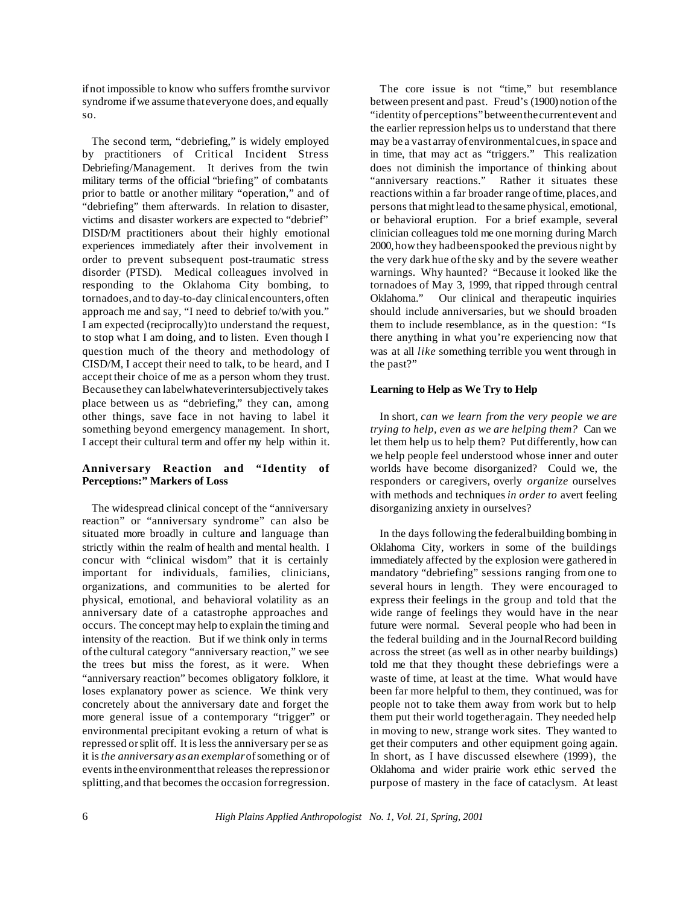ifnot impossible to know who suffers fromthe survivor syndrome if we assume that everyone does, and equally so.

The second term, "debriefing," is widely employed by practitioners of Critical Incident Stress Debriefing/Management. It derives from the twin military terms of the official "briefing" of combatants prior to battle or another military "operation," and of "debriefing" them afterwards. In relation to disaster, victims and disaster workers are expected to "debrief" DISD/M practitioners about their highly emotional experiences immediately after their involvement in order to prevent subsequent post-traumatic stress disorder (PTSD). Medical colleagues involved in responding to the Oklahoma City bombing, to tornadoes,and to day-to-day clinicalencounters,often approach me and say, "I need to debrief to/with you." I am expected (reciprocally)to understand the request, to stop what I am doing, and to listen. Even though I question much of the theory and methodology of CISD/M, I accept their need to talk, to be heard, and I accept their choice of me as a person whom they trust. Becausethey can labelwhateverintersubjectively takes place between us as "debriefing," they can, among other things, save face in not having to label it something beyond emergency management. In short, I accept their cultural term and offer my help within it.

# **Anniversary Reaction and "Identity of Perceptions:" Markers of Loss**

The widespread clinical concept of the "anniversary reaction" or "anniversary syndrome" can also be situated more broadly in culture and language than strictly within the realm of health and mental health. I concur with "clinical wisdom" that it is certainly important for individuals, families, clinicians, organizations, and communities to be alerted for physical, emotional, and behavioral volatility as an anniversary date of a catastrophe approaches and occurs. The concept may help to explain the timing and intensity of the reaction. But if we think only in terms ofthe cultural category "anniversary reaction," we see the trees but miss the forest, as it were. When "anniversary reaction" becomes obligatory folklore, it loses explanatory power as science. We think very concretely about the anniversary date and forget the more general issue of a contemporary "trigger" or environmental precipitant evoking a return of what is repressed orsplit off. It is less the anniversary per se as it is *the anniversary as an exemplar*ofsomething or of eventsintheenvironmentthat releases therepressionor splitting,and that becomes the occasion forregression.

The core issue is not "time," but resemblance between present and past. Freud's (1900) notion of the "identity of perceptions" between the current event and the earlier repression helps us to understand that there may be a vast array of environmental cues, in space and in time, that may act as "triggers." This realization does not diminish the importance of thinking about "anniversary reactions." Rather it situates these reactions within a far broader range of time, places, and persons that might lead to the same physical, emotional, or behavioral eruption. For a brief example, several clinician colleagues told me one morning during March 2000,howthey hadbeenspooked the previous night by the very dark hue ofthe sky and by the severe weather warnings. Why haunted? "Because it looked like the tornadoes of May 3, 1999, that ripped through central Oklahoma." Our clinical and therapeutic inquiries should include anniversaries, but we should broaden them to include resemblance, as in the question: "Is there anything in what you're experiencing now that was at all *like* something terrible you went through in the past?"

# **Learning to Help as We Try to Help**

In short, *can we learn from the very people we are trying to help, even as we are helping them?* Can we let them help us to help them? Put differently, how can we help people feel understood whose inner and outer worlds have become disorganized? Could we, the responders or caregivers, overly *organize* ourselves with methods and techniques *in order to* avert feeling disorganizing anxiety in ourselves?

In the days following the federalbuilding bombing in Oklahoma City, workers in some of the buildings immediately affected by the explosion were gathered in mandatory "debriefing" sessions ranging from one to several hours in length. They were encouraged to express their feelings in the group and told that the wide range of feelings they would have in the near future were normal. Several people who had been in the federal building and in the JournalRecord building across the street (as well as in other nearby buildings) told me that they thought these debriefings were a waste of time, at least at the time. What would have been far more helpful to them, they continued, was for people not to take them away from work but to help them put their world togetheragain. They needed help in moving to new, strange work sites. They wanted to get their computers and other equipment going again. In short, as I have discussed elsewhere (1999), the Oklahoma and wider prairie work ethic served the purpose of mastery in the face of cataclysm. At least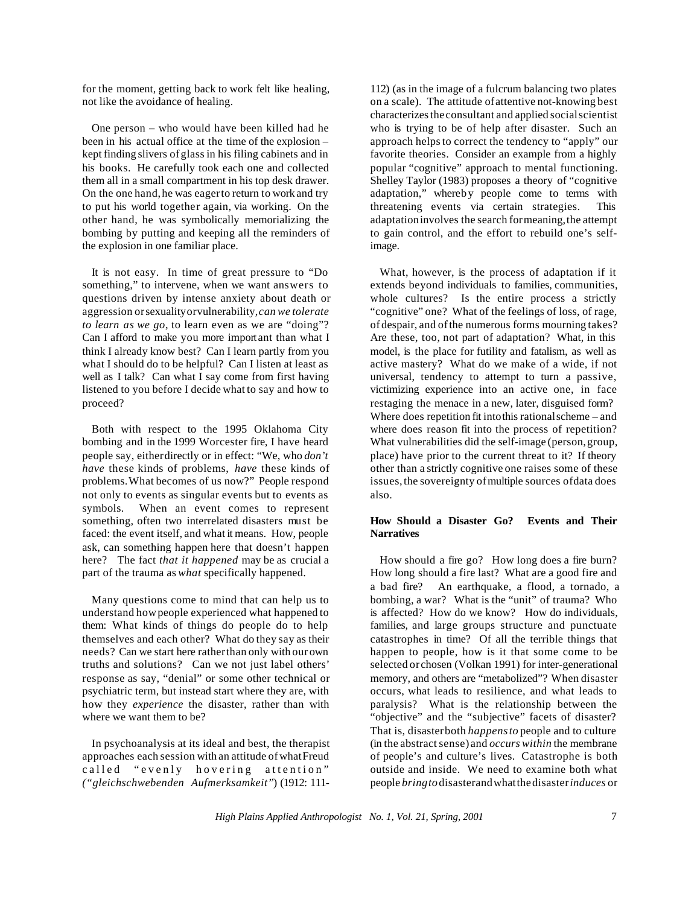for the moment, getting back to work felt like healing, not like the avoidance of healing.

One person – who would have been killed had he been in his actual office at the time of the explosion – kept finding slivers of glass in his filing cabinets and in his books. He carefully took each one and collected them all in a small compartment in his top desk drawer. On the one hand,he was eagerto return to work and try to put his world together again, via working. On the other hand, he was symbolically memorializing the bombing by putting and keeping all the reminders of the explosion in one familiar place.

It is not easy. In time of great pressure to "Do something," to intervene, when we want answers to questions driven by intense anxiety about death or aggression orsexualityorvulnerability,*can we tolerate to learn as we go*, to learn even as we are "doing"? Can I afford to make you more important than what I think I already know best? Can I learn partly from you what I should do to be helpful? Can I listen at least as well as I talk? Can what I say come from first having listened to you before I decide what to say and how to proceed?

Both with respect to the 1995 Oklahoma City bombing and in the 1999 Worcester fire, I have heard people say, eitherdirectly or in effect: "We, who *don't have* these kinds of problems, *have* these kinds of problems.What becomes of us now?" People respond not only to events as singular events but to events as symbols. When an event comes to represent something, often two interrelated disasters must be faced: the event itself, and what it means. How, people ask, can something happen here that doesn't happen here? The fact *that it happened* may be as crucial a part of the trauma as *what* specifically happened.

Many questions come to mind that can help us to understand howpeople experienced what happened to them: What kinds of things do people do to help themselves and each other? What do they say as their needs? Can we start here ratherthan only with ourown truths and solutions? Can we not just label others' response as say, "denial" or some other technical or psychiatric term, but instead start where they are, with how they *experience* the disaster, rather than with where we want them to be?

In psychoanalysis at its ideal and best, the therapist approaches each session with an attitude ofwhatFreud called "evenly hovering attention" *("gleichschwebenden Aufmerksamkeit"*) (1912: 111112) (as in the image of a fulcrum balancing two plates on a scale). The attitude ofattentive not-knowing best characterizestheconsultant and applied socialscientist who is trying to be of help after disaster. Such an approach helps to correct the tendency to "apply" our favorite theories. Consider an example from a highly popular "cognitive" approach to mental functioning. Shelley Taylor (1983) proposes a theory of "cognitive adaptation," whereby people come to terms with threatening events via certain strategies. This adaptationinvolves the search formeaning,the attempt to gain control, and the effort to rebuild one's selfimage.

What, however, is the process of adaptation if it extends beyond individuals to families, communities, whole cultures? Is the entire process a strictly "cognitive" one? What of the feelings of loss, of rage, ofdespair, and ofthe numerous forms mourning takes? Are these, too, not part of adaptation? What, in this model, is the place for futility and fatalism, as well as active mastery? What do we make of a wide, if not universal, tendency to attempt to turn a passive, victimizing experience into an active one, in face restaging the menace in a new, later, disguised form? Where does repetition fit into this rational scheme – and where does reason fit into the process of repetition? What vulnerabilities did the self-image (person,group, place) have prior to the current threat to it? If theory other than a strictly cognitive one raises some of these issues, the sovereignty of multiple sources of data does also.

# **How Should a Disaster Go? Events and Their Narratives**

How should a fire go? How long does a fire burn? How long should a fire last? What are a good fire and a bad fire? An earthquake, a flood, a tornado, a bombing, a war? What is the "unit" of trauma? Who is affected? How do we know? How do individuals, families, and large groups structure and punctuate catastrophes in time? Of all the terrible things that happen to people, how is it that some come to be selected or chosen (Volkan 1991) for inter-generational memory, and others are "metabolized"? When disaster occurs, what leads to resilience, and what leads to paralysis? What is the relationship between the "objective" and the "subjective" facets of disaster? That is, disasterboth *happensto* people and to culture (in the abstract sense) and *occurs* within the membrane of people's and culture's lives. Catastrophe is both outside and inside. We need to examine both what people *bringto*disasterandwhatthedisaster*induces* or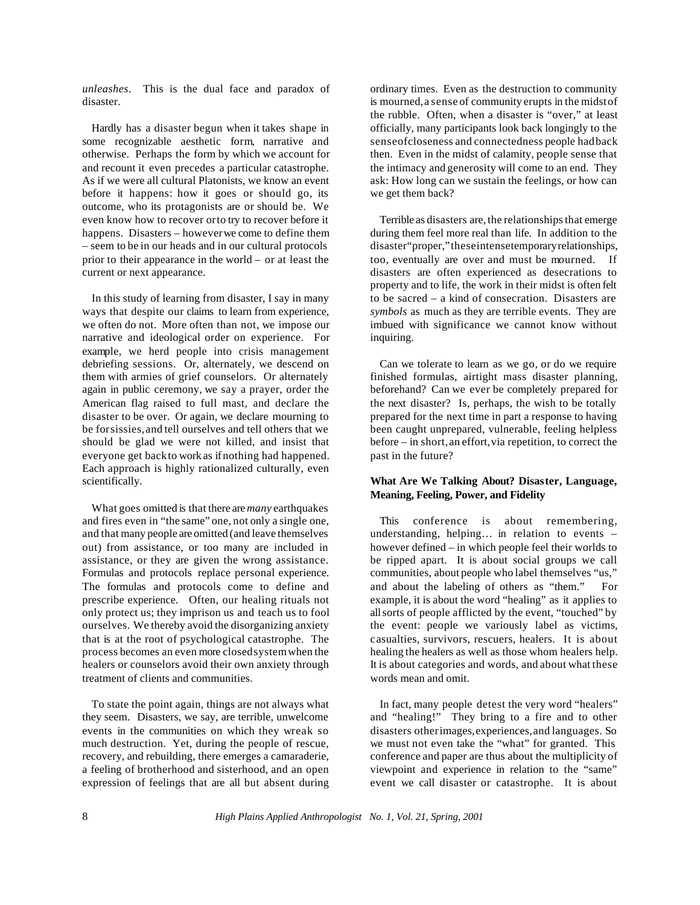*unleashes*. This is the dual face and paradox of disaster.

Hardly has a disaster begun when it takes shape in some recognizable aesthetic form, narrative and otherwise. Perhaps the form by which we account for and recount it even precedes a particular catastrophe. As if we were all cultural Platonists, we know an event before it happens: how it goes or should go, its outcome, who its protagonists are or should be. We even know how to recover orto try to recover before it happens. Disasters – howeverwe come to define them – seem to be in our heads and in our cultural protocols prior to their appearance in the world – or at least the current or next appearance.

In this study of learning from disaster, I say in many ways that despite our claims to learn from experience, we often do not. More often than not, we impose our narrative and ideological order on experience. For example, we herd people into crisis management debriefing sessions. Or, alternately, we descend on them with armies of grief counselors. Or alternately again in public ceremony, we say a prayer, order the American flag raised to full mast, and declare the disaster to be over. Or again, we declare mourning to be forsissies,and tell ourselves and tell others that we should be glad we were not killed, and insist that everyone get backto work as ifnothing had happened. Each approach is highly rationalized culturally, even scientifically.

What goes omitted is that there are*many* earthquakes and fires even in "the same" one, not only a single one, and that many people are omitted (and leave themselves out) from assistance, or too many are included in assistance, or they are given the wrong assistance. Formulas and protocols replace personal experience. The formulas and protocols come to define and prescribe experience. Often, our healing rituals not only protect us; they imprison us and teach us to fool ourselves. We thereby avoid the disorganizing anxiety that is at the root of psychological catastrophe. The process becomes an even more closedsystemwhen the healers or counselors avoid their own anxiety through treatment of clients and communities.

To state the point again, things are not always what they seem. Disasters, we say, are terrible, unwelcome events in the communities on which they wreak so much destruction. Yet, during the people of rescue, recovery, and rebuilding, there emerges a camaraderie, a feeling of brotherhood and sisterhood, and an open expression of feelings that are all but absent during ordinary times. Even as the destruction to community is mourned,a sense of community erupts in the midstof the rubble. Often, when a disaster is "over," at least officially, many participants look back longingly to the senseofcloseness and connectedness people hadback then. Even in the midst of calamity, people sense that the intimacy and generosity will come to an end. They ask: How long can we sustain the feelings, or how can we get them back?

Terrible as disasters are, the relationships that emerge during them feel more real than life. In addition to the disaster"proper,"theseintensetemporary relationships, too, eventually are over and must be mourned. If disasters are often experienced as desecrations to property and to life, the work in their midst is often felt to be sacred – a kind of consecration. Disasters are *symbols* as much as they are terrible events. They are imbued with significance we cannot know without inquiring.

Can we tolerate to learn as we go, or do we require finished formulas, airtight mass disaster planning, beforehand? Can we ever be completely prepared for the next disaster? Is, perhaps, the wish to be totally prepared for the next time in part a response to having been caught unprepared, vulnerable, feeling helpless before – in short, an effort, via repetition, to correct the past in the future?

# **What Are We Talking About? Disaster, Language, Meaning, Feeling, Power, and Fidelity**

This conference is about remembering, understanding, helping… in relation to events – however defined – in which people feel their worlds to be ripped apart. It is about social groups we call communities, about people who label themselves "us," and about the labeling of others as "them." For example, it is about the word "healing" as it applies to allsorts of people afflicted by the event, "touched" by the event: people we variously label as victims, casualties, survivors, rescuers, healers. It is about healing the healers as well as those whom healers help. It is about categories and words, and about what these words mean and omit.

In fact, many people detest the very word "healers" and "healing!" They bring to a fire and to other disasters otherimages,experiences,and languages. So we must not even take the "what" for granted. This conference and paper are thus about the multiplicity of viewpoint and experience in relation to the "same" event we call disaster or catastrophe. It is about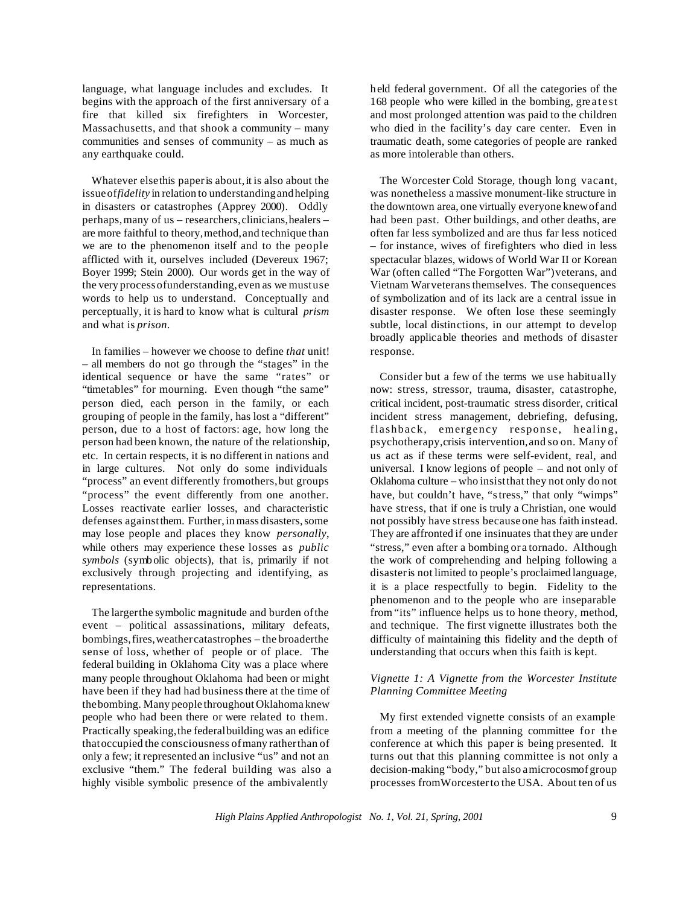language, what language includes and excludes. It begins with the approach of the first anniversary of a fire that killed six firefighters in Worcester, Massachusetts, and that shook a community – many communities and senses of community – as much as any earthquake could.

Whatever elsethis paper is about, it is also about the issueof*fidelity* in relation to understandingandhelping in disasters or catastrophes (Apprey 2000). Oddly perhaps,many of us – researchers,clinicians,healers – are more faithful to theory,method,and technique than we are to the phenomenon itself and to the people afflicted with it, ourselves included (Devereux 1967; Boyer 1999; Stein 2000). Our words get in the way of the very processofunderstanding,even as we mustuse words to help us to understand. Conceptually and perceptually, it is hard to know what is cultural *prism* and what is *prison*.

In families – however we choose to define *that* unit! – all members do not go through the "stages" in the identical sequence or have the same "rates" or "timetables" for mourning. Even though "the same" person died, each person in the family, or each grouping of people in the family, has lost a "different" person, due to a host of factors: age, how long the person had been known, the nature of the relationship, etc. In certain respects, it is no different in nations and in large cultures. Not only do some individuals "process" an event differently fromothers, but groups "process" the event differently from one another. Losses reactivate earlier losses, and characteristic defenses againstthem. Further, in mass disasters, some may lose people and places they know *personally*, while others may experience these losses as *public symbols* (symbolic objects), that is, primarily if not exclusively through projecting and identifying, as representations.

The largerthe symbolic magnitude and burden ofthe event – political assassinations, military defeats, bombings,fires,weathercatastrophes – the broaderthe sense of loss, whether of people or of place. The federal building in Oklahoma City was a place where many people throughout Oklahoma had been or might have been if they had had business there at the time of thebombing. Many people throughout Oklahoma knew people who had been there or were related to them. Practically speaking,the federalbuilding was an edifice thatoccupied the consciousness ofmany ratherthan of only a few; it represented an inclusive "us" and not an exclusive "them." The federal building was also a highly visible symbolic presence of the ambivalently

held federal government. Of all the categories of the 168 people who were killed in the bombing, greatest and most prolonged attention was paid to the children who died in the facility's day care center. Even in traumatic death, some categories of people are ranked as more intolerable than others.

The Worcester Cold Storage, though long vacant, was nonetheless a massive monument-like structure in the downtown area, one virtually everyone knewof and had been past. Other buildings, and other deaths, are often far less symbolized and are thus far less noticed – for instance, wives of firefighters who died in less spectacular blazes, widows of World War II or Korean War (often called "The Forgotten War") veterans, and Vietnam Warveterans themselves. The consequences of symbolization and of its lack are a central issue in disaster response. We often lose these seemingly subtle, local distinctions, in our attempt to develop broadly applicable theories and methods of disaster response.

Consider but a few of the terms we use habitually now: stress, stressor, trauma, disaster, catastrophe, critical incident, post-traumatic stress disorder, critical incident stress management, debriefing, defusing, flashback, emergency response, healing, psychotherapy,crisis intervention,and so on. Many of us act as if these terms were self-evident, real, and universal. I know legions of people – and not only of Oklahoma culture – who insistthat they not only do not have, but couldn't have, "stress," that only "wimps" have stress, that if one is truly a Christian, one would not possibly have stress becauseone has faith instead. They are affronted if one insinuates that they are under "stress," even after a bombing or a tornado. Although the work of comprehending and helping following a disasteris not limited to people's proclaimed language, it is a place respectfully to begin. Fidelity to the phenomenon and to the people who are inseparable from "its" influence helps us to hone theory, method, and technique. The first vignette illustrates both the difficulty of maintaining this fidelity and the depth of understanding that occurs when this faith is kept.

# *Vignette 1: A Vignette from the Worcester Institute Planning Committee Meeting*

My first extended vignette consists of an example from a meeting of the planning committee for the conference at which this paper is being presented. It turns out that this planning committee is not only a decision-making "body," but also amicrocosmofgroup processes fromWorcesterto the USA. About ten of us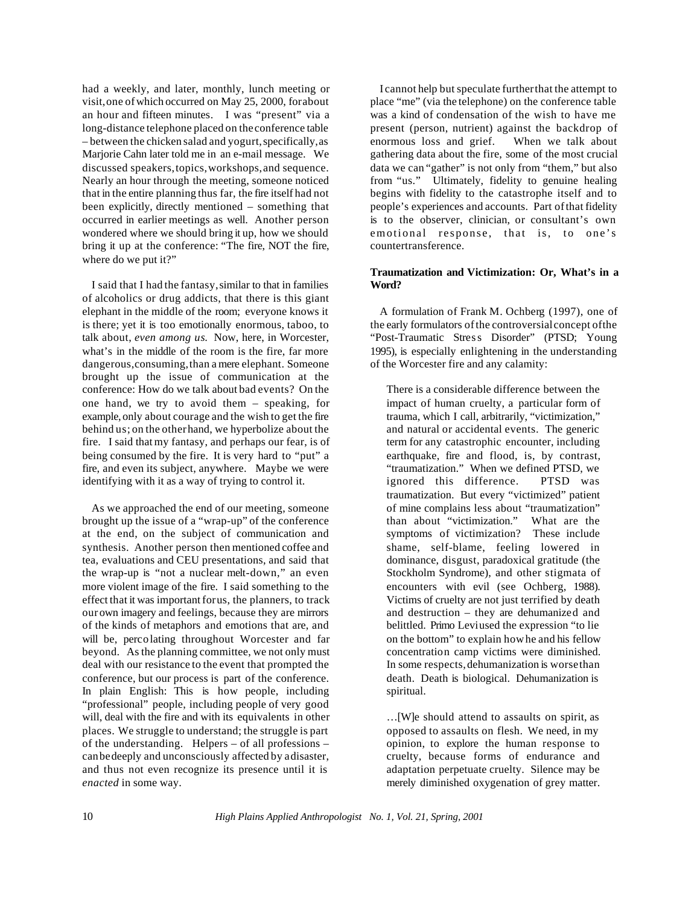had a weekly, and later, monthly, lunch meeting or visit,one ofwhich occurred on May 25, 2000, forabout an hour and fifteen minutes. I was "present" via a long-distance telephone placed on theconference table – between the chicken salad and yogurt, specifically, as Marjorie Cahn later told me in an e-mail message. We discussed speakers,topics,workshops,and sequence. Nearly an hour through the meeting, someone noticed that in the entire planning thus far, the fire itself had not been explicitly, directly mentioned – something that occurred in earlier meetings as well. Another person wondered where we should bring it up, how we should bring it up at the conference: "The fire, NOT the fire, where do we put it?"

I said that I had the fantasy,similar to that in families of alcoholics or drug addicts, that there is this giant elephant in the middle of the room; everyone knows it is there; yet it is too emotionally enormous, taboo, to talk about, *even among us*. Now, here, in Worcester, what's in the middle of the room is the fire, far more dangerous,consuming,than a mere elephant. Someone brought up the issue of communication at the conference: How do we talk about bad events? On the one hand, we try to avoid them – speaking, for example, only about courage and the wish to get the fire behind us; on the otherhand, we hyperbolize about the fire. I said that my fantasy, and perhaps our fear, is of being consumed by the fire. It is very hard to "put" a fire, and even its subject, anywhere. Maybe we were identifying with it as a way of trying to control it.

As we approached the end of our meeting, someone brought up the issue of a "wrap-up" of the conference at the end, on the subject of communication and synthesis. Another person then mentioned coffee and tea, evaluations and CEU presentations, and said that the wrap-up is "not a nuclear melt-down," an even more violent image of the fire. I said something to the effect that it was important for us, the planners, to track ourown imagery and feelings, because they are mirrors of the kinds of metaphors and emotions that are, and will be, percolating throughout Worcester and far beyond. As the planning committee, we not only must deal with our resistance to the event that prompted the conference, but our process is part of the conference. In plain English: This is how people, including "professional" people, including people of very good will, deal with the fire and with its equivalents in other places. We struggle to understand; the struggle is part of the understanding. Helpers – of all professions – canbedeeply and unconsciously affected by adisaster, and thus not even recognize its presence until it is *enacted* in some way.

I cannot help but speculate further that the attempt to place "me" (via the telephone) on the conference table was a kind of condensation of the wish to have me present (person, nutrient) against the backdrop of enormous loss and grief. When we talk about gathering data about the fire, some of the most crucial data we can "gather" is not only from "them," but also from "us." Ultimately, fidelity to genuine healing begins with fidelity to the catastrophe itself and to people's experiences and accounts. Part ofthat fidelity is to the observer, clinician, or consultant's own emotional response, that is, to one's countertransference.

## **Traumatization and Victimization: Or, What's in a Word?**

A formulation of Frank M. Ochberg (1997), one of the early formulators ofthe controversialconcept ofthe "Post-Traumatic Stress Disorder" (PTSD; Young 1995), is especially enlightening in the understanding of the Worcester fire and any calamity:

There is a considerable difference between the impact of human cruelty, a particular form of trauma, which I call, arbitrarily, "victimization," and natural or accidental events. The generic term for any catastrophic encounter, including earthquake, fire and flood, is, by contrast, "traumatization." When we defined PTSD, we ignored this difference. PTSD was traumatization. But every "victimized" patient of mine complains less about "traumatization" than about "victimization." What are the symptoms of victimization? These include shame, self-blame, feeling lowered in dominance, disgust, paradoxical gratitude (the Stockholm Syndrome), and other stigmata of encounters with evil (see Ochberg, 1988). Victims of cruelty are not just terrified by death and destruction – they are dehumanized and belittled. Primo Leviused the expression "to lie on the bottom" to explain howhe and his fellow concentration camp victims were diminished. In some respects, dehumanization is worse than death. Death is biological. Dehumanization is spiritual.

…[W]e should attend to assaults on spirit, as opposed to assaults on flesh. We need, in my opinion, to explore the human response to cruelty, because forms of endurance and adaptation perpetuate cruelty. Silence may be merely diminished oxygenation of grey matter.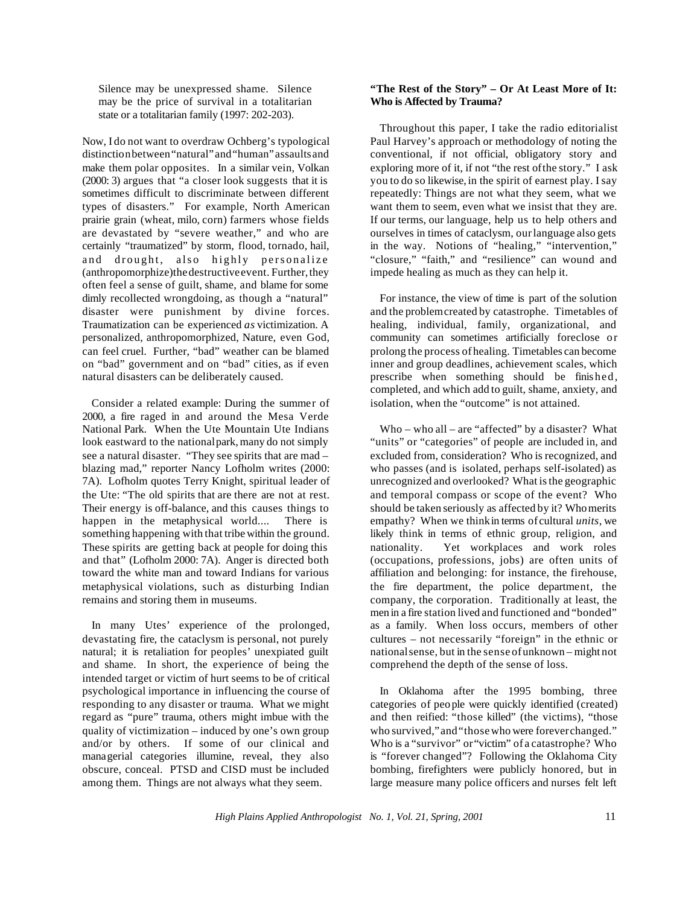Silence may be unexpressed shame. Silence may be the price of survival in a totalitarian state or a totalitarian family (1997: 202-203).

Now, I do not want to overdraw Ochberg's typological distinction between "natural" and "human" assaults and make them polar opposites. In a similar vein, Volkan (2000: 3) argues that "a closer look suggests that it is sometimes difficult to discriminate between different types of disasters." For example, North American prairie grain (wheat, milo, corn) farmers whose fields are devastated by "severe weather," and who are certainly "traumatized" by storm, flood, tornado, hail, and drought, also highly personalize (anthropomorphize)thedestructiveevent. Further, they often feel a sense of guilt, shame, and blame for some dimly recollected wrongdoing, as though a "natural" disaster were punishment by divine forces. Traumatization can be experienced *as* victimization. A personalized, anthropomorphized, Nature, even God, can feel cruel. Further, "bad" weather can be blamed on "bad" government and on "bad" cities, as if even natural disasters can be deliberately caused.

Consider a related example: During the summer of 2000, a fire raged in and around the Mesa Verde National Park. When the Ute Mountain Ute Indians look eastward to the national park, many do not simply see a natural disaster. "They see spirits that are mad – blazing mad," reporter Nancy Lofholm writes (2000: 7A). Lofholm quotes Terry Knight, spiritual leader of the Ute: "The old spirits that are there are not at rest. Their energy is off-balance, and this causes things to happen in the metaphysical world.... There is something happening with that tribe within the ground. These spirits are getting back at people for doing this and that" (Lofholm 2000: 7A). Anger is directed both toward the white man and toward Indians for various metaphysical violations, such as disturbing Indian remains and storing them in museums.

In many Utes' experience of the prolonged, devastating fire, the cataclysm is personal, not purely natural; it is retaliation for peoples' unexpiated guilt and shame. In short, the experience of being the intended target or victim of hurt seems to be of critical psychological importance in influencing the course of responding to any disaster or trauma. What we might regard as "pure" trauma, others might imbue with the quality of victimization – induced by one's own group and/or by others. If some of our clinical and managerial categories illumine, reveal, they also obscure, conceal. PTSD and CISD must be included among them. Things are not always what they seem.

# **"The Rest of the Story" – Or At Least More of It: Who is Affected by Trauma?**

Throughout this paper, I take the radio editorialist Paul Harvey's approach or methodology of noting the conventional, if not official, obligatory story and exploring more of it, if not "the rest ofthe story." I ask you to do so likewise, in the spirit of earnest play. I say repeatedly: Things are not what they seem, what we want them to seem, even what we insist that they are. If our terms, our language, help us to help others and ourselves in times of cataclysm, ourlanguage also gets in the way. Notions of "healing," "intervention," "closure," "faith," and "resilience" can wound and impede healing as much as they can help it.

For instance, the view of time is part of the solution and the problemcreated by catastrophe. Timetables of healing, individual, family, organizational, and community can sometimes artificially foreclose or prolong the process ofhealing. Timetables can become inner and group deadlines, achievement scales, which prescribe when something should be finished, completed, and which add to guilt, shame, anxiety, and isolation, when the "outcome" is not attained.

Who – who all – are "affected" by a disaster? What "units" or "categories" of people are included in, and excluded from, consideration? Who is recognized, and who passes (and is isolated, perhaps self-isolated) as unrecognized and overlooked? What is the geographic and temporal compass or scope of the event? Who should be taken seriously as affected by it? Who merits empathy? When we thinkin terms of cultural *units*, we likely think in terms of ethnic group, religion, and nationality. Yet workplaces and work roles (occupations, professions, jobs) are often units of affiliation and belonging: for instance, the firehouse, the fire department, the police department, the company, the corporation. Traditionally at least, the men in a fire station lived and functioned and "bonded" as a family. When loss occurs, members of other cultures – not necessarily "foreign" in the ethnic or nationalsense, but in the sense ofunknown – might not comprehend the depth of the sense of loss.

In Oklahoma after the 1995 bombing, three categories of people were quickly identified (created) and then reified: "those killed" (the victims), "those who survived,"and"thosewho were foreverchanged." Who is a "survivor" or "victim" of a catastrophe? Who is "forever changed"? Following the Oklahoma City bombing, firefighters were publicly honored, but in large measure many police officers and nurses felt left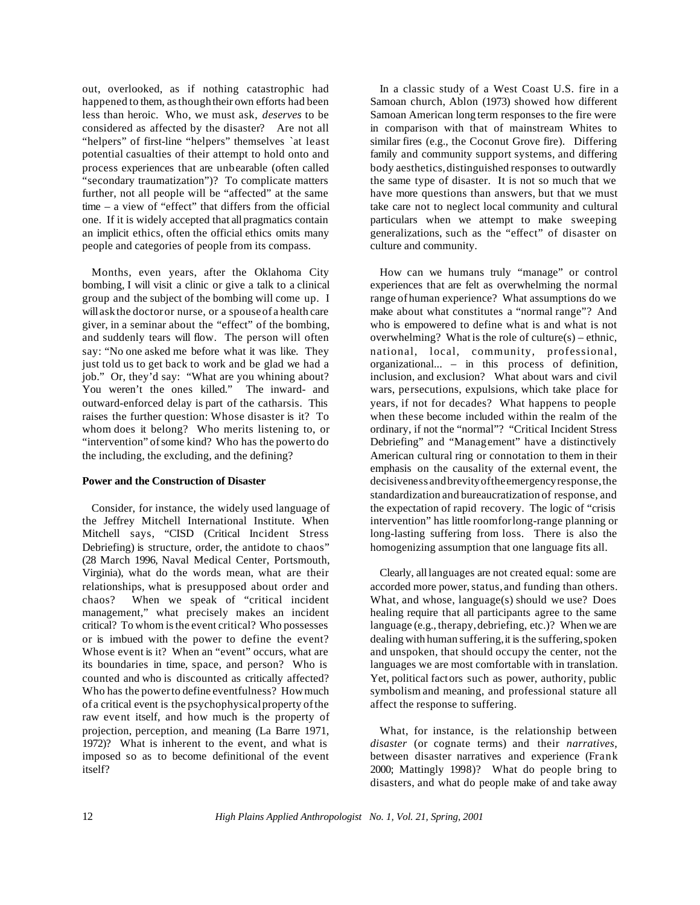out, overlooked, as if nothing catastrophic had happened to them, asthoughtheir own efforts had been less than heroic. Who, we must ask, *deserves* to be considered as affected by the disaster? Are not all "helpers" of first-line "helpers" themselves `at least potential casualties of their attempt to hold onto and process experiences that are unbearable (often called "secondary traumatization")? To complicate matters further, not all people will be "affected" at the same time – a view of "effect" that differs from the official one. If it is widely accepted that all pragmatics contain an implicit ethics, often the official ethics omits many people and categories of people from its compass.

Months, even years, after the Oklahoma City bombing, I will visit a clinic or give a talk to a clinical group and the subject of the bombing will come up. I will askthe doctoror nurse, or a spouseof a health care giver, in a seminar about the "effect" of the bombing, and suddenly tears will flow. The person will often say: "No one asked me before what it was like. They just told us to get back to work and be glad we had a job." Or, they'd say: "What are you whining about? You weren't the ones killed." The inward- and outward-enforced delay is part of the catharsis. This raises the further question: Whose disaster is it? To whom does it belong? Who merits listening to, or "intervention" ofsome kind? Who has the powerto do the including, the excluding, and the defining?

## **Power and the Construction of Disaster**

Consider, for instance, the widely used language of the Jeffrey Mitchell International Institute. When Mitchell says, "CISD (Critical Incident Stress Debriefing) is structure, order, the antidote to chaos" (28 March 1996, Naval Medical Center, Portsmouth, Virginia), what do the words mean, what are their relationships, what is presupposed about order and chaos? When we speak of "critical incident management," what precisely makes an incident critical? To whom is the event critical? Who possesses or is imbued with the power to define the event? Whose event is it? When an "event" occurs, what are its boundaries in time, space, and person? Who is counted and who is discounted as critically affected? Who has the powerto define eventfulness? Howmuch of a critical event is the psychophysical property of the raw event itself, and how much is the property of projection, perception, and meaning (La Barre 1971, 1972)? What is inherent to the event, and what is imposed so as to become definitional of the event itself?

In a classic study of a West Coast U.S. fire in a Samoan church, Ablon (1973) showed how different Samoan American long term responses to the fire were in comparison with that of mainstream Whites to similar fires (e.g., the Coconut Grove fire). Differing family and community support systems, and differing body aesthetics,distinguished responses to outwardly the same type of disaster. It is not so much that we have more questions than answers, but that we must take care not to neglect local community and cultural particulars when we attempt to make sweeping generalizations, such as the "effect" of disaster on culture and community.

How can we humans truly "manage" or control experiences that are felt as overwhelming the normal range ofhuman experience? What assumptions do we make about what constitutes a "normal range"? And who is empowered to define what is and what is not overwhelming? What is the role of culture(s) – ethnic, national, local, community, professional, organizational... – in this process of definition, inclusion, and exclusion? What about wars and civil wars, persecutions, expulsions, which take place for years, if not for decades? What happens to people when these become included within the realm of the ordinary, if not the "normal"? "Critical Incident Stress Debriefing" and "Management" have a distinctively American cultural ring or connotation to them in their emphasis on the causality of the external event, the decisiveness andbrevityoftheemergencyresponse,the standardization and bureaucratization of response, and the expectation of rapid recovery. The logic of "crisis intervention" has little roomforlong-range planning or long-lasting suffering from loss. There is also the homogenizing assumption that one language fits all.

Clearly, alllanguages are not created equal: some are accorded more power, status, and funding than others. What, and whose, language(s) should we use? Does healing require that all participants agree to the same language (e.g., therapy,debriefing, etc.)? When we are dealing with human suffering, it is the suffering, spoken and unspoken, that should occupy the center, not the languages we are most comfortable with in translation. Yet, political factors such as power, authority, public symbolism and meaning, and professional stature all affect the response to suffering.

What, for instance, is the relationship between *disaster* (or cognate terms) and their *narratives*, between disaster narratives and experience (Frank 2000; Mattingly 1998)? What do people bring to disasters, and what do people make of and take away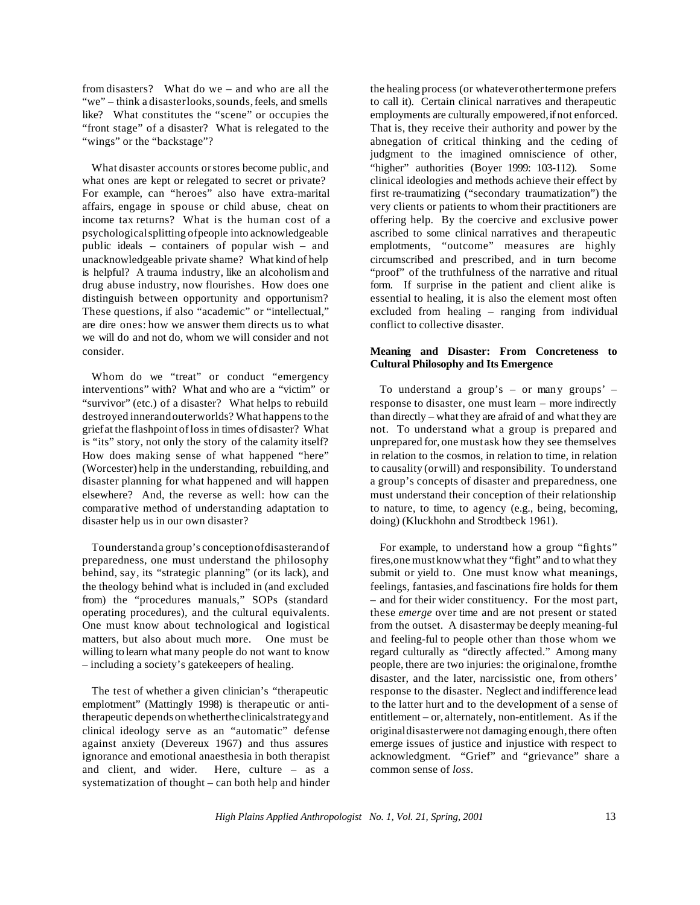from disasters? What do we – and who are all the "we" – think a disaster looks, sounds, feels, and smells like? What constitutes the "scene" or occupies the "front stage" of a disaster? What is relegated to the "wings" or the "backstage"?

What disaster accounts orstores become public, and what ones are kept or relegated to secret or private? For example, can "heroes" also have extra-marital affairs, engage in spouse or child abuse, cheat on income tax returns? What is the human cost of a psychologicalsplitting ofpeople into acknowledgeable public ideals – containers of popular wish – and unacknowledgeable private shame? What kind of help is helpful? A trauma industry, like an alcoholism and drug abuse industry, now flourishes. How does one distinguish between opportunity and opportunism? These questions, if also "academic" or "intellectual," are dire ones: how we answer them directs us to what we will do and not do, whom we will consider and not consider.

Whom do we "treat" or conduct "emergency interventions" with? What and who are a "victim" or "survivor" (etc.) of a disaster? What helps to rebuild destroyed innerandouterworlds? What happens to the griefat the flashpoint oflossin times ofdisaster? What is "its" story, not only the story of the calamity itself? How does making sense of what happened "here" (Worcester) help in the understanding, rebuilding,and disaster planning for what happened and will happen elsewhere? And, the reverse as well: how can the comparative method of understanding adaptation to disaster help us in our own disaster?

Tounderstanda group's conceptionofdisasterandof preparedness, one must understand the philosophy behind, say, its "strategic planning" (or its lack), and the theology behind what is included in (and excluded from) the "procedures manuals," SOPs (standard operating procedures), and the cultural equivalents. One must know about technological and logistical matters, but also about much more. One must be willing to learn what many people do not want to know – including a society's gatekeepers of healing.

The test of whether a given clinician's "therapeutic emplotment" (Mattingly 1998) is therapeutic or antitherapeutic dependsonwhethertheclinicalstrategyand clinical ideology serve as an "automatic" defense against anxiety (Devereux 1967) and thus assures ignorance and emotional anaesthesia in both therapist and client, and wider. Here, culture – as a systematization of thought – can both help and hinder

the healing process (or whateverothertermone prefers to call it). Certain clinical narratives and therapeutic employments are culturally empowered,ifnot enforced. That is, they receive their authority and power by the abnegation of critical thinking and the ceding of judgment to the imagined omniscience of other, "higher" authorities (Boyer 1999: 103-112). Some clinical ideologies and methods achieve their effect by first re-traumatizing ("secondary traumatization") the very clients or patients to whom their practitioners are offering help. By the coercive and exclusive power ascribed to some clinical narratives and therapeutic emplotments, "outcome" measures are highly circumscribed and prescribed, and in turn become "proof" of the truthfulness of the narrative and ritual form. If surprise in the patient and client alike is essential to healing, it is also the element most often excluded from healing – ranging from individual conflict to collective disaster.

# **Meaning and Disaster: From Concreteness to Cultural Philosophy and Its Emergence**

To understand a group's – or many groups' – response to disaster, one must learn – more indirectly than directly – what they are afraid of and what they are not. To understand what a group is prepared and unprepared for, one mustask how they see themselves in relation to the cosmos, in relation to time, in relation to causality (orwill) and responsibility. To understand a group's concepts of disaster and preparedness, one must understand their conception of their relationship to nature, to time, to agency (e.g., being, becoming, doing) (Kluckhohn and Strodtbeck 1961).

For example, to understand how a group "fights" fires,one mustknowwhat they "fight" and to what they submit or yield to. One must know what meanings, feelings, fantasies,and fascinations fire holds for them – and for their wider constituency. For the most part, these *emerge* over time and are not present or stated from the outset. A disastermay be deeply meaning-ful and feeling-ful to people other than those whom we regard culturally as "directly affected." Among many people, there are two injuries: the originalone, fromthe disaster, and the later, narcissistic one, from others' response to the disaster. Neglect and indifference lead to the latter hurt and to the development of a sense of entitlement – or, alternately, non-entitlement. As if the original disasterwere not damaging enough, there often emerge issues of justice and injustice with respect to acknowledgment. "Grief" and "grievance" share a common sense of *loss*.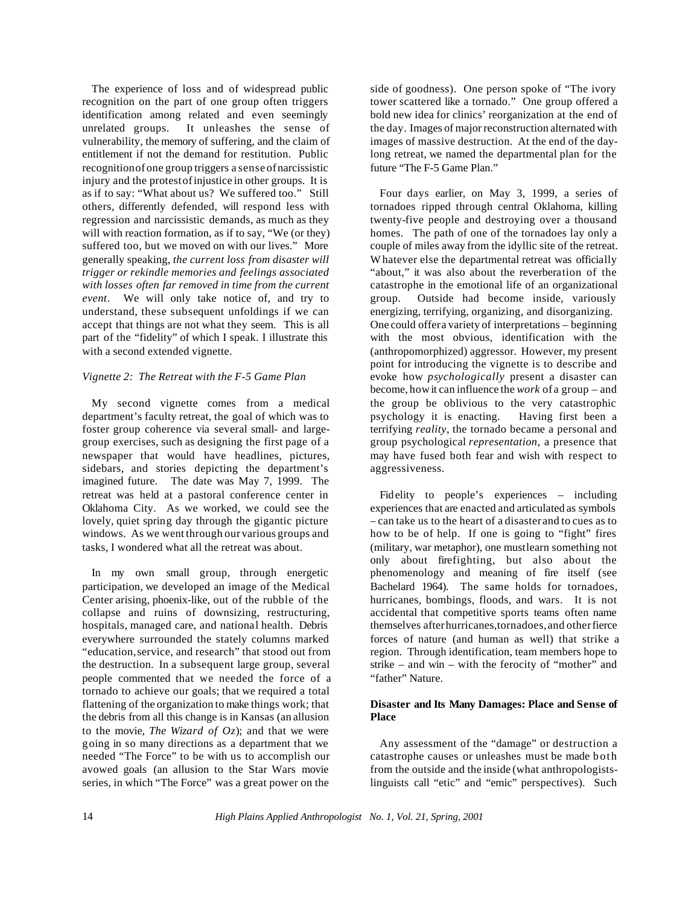The experience of loss and of widespread public recognition on the part of one group often triggers identification among related and even seemingly unrelated groups. It unleashes the sense of vulnerability, the memory of suffering, and the claim of entitlement if not the demand for restitution. Public recognitionofone group triggers a sense ofnarcissistic injury and the protestofinjustice in other groups. It is as if to say: "What about us? We suffered too." Still others, differently defended, will respond less with regression and narcissistic demands, as much as they will with reaction formation, as if to say, "We (or they) suffered too, but we moved on with our lives." More generally speaking, *the current loss from disaster will trigger or rekindle memories and feelings associated with losses often far removed in time from the current event*. We will only take notice of, and try to understand, these subsequent unfoldings if we can accept that things are not what they seem. This is all part of the "fidelity" of which I speak. I illustrate this with a second extended vignette.

# *Vignette 2: The Retreat with the F-5 Game Plan*

My second vignette comes from a medical department's faculty retreat, the goal of which was to foster group coherence via several small- and largegroup exercises, such as designing the first page of a newspaper that would have headlines, pictures, sidebars, and stories depicting the department's imagined future. The date was May 7, 1999. The retreat was held at a pastoral conference center in Oklahoma City. As we worked, we could see the lovely, quiet spring day through the gigantic picture windows. As we went through our various groups and tasks, I wondered what all the retreat was about.

In my own small group, through energetic participation, we developed an image of the Medical Center arising, phoenix-like, out of the rubble of the collapse and ruins of downsizing, restructuring, hospitals, managed care, and national health. Debris everywhere surrounded the stately columns marked "education,service, and research" that stood out from the destruction. In a subsequent large group, several people commented that we needed the force of a tornado to achieve our goals; that we required a total flattening of the organization to make things work; that the debris from all this change is in Kansas (an allusion to the movie, *The Wizard of Oz*); and that we were going in so many directions as a department that we needed "The Force" to be with us to accomplish our avowed goals (an allusion to the Star Wars movie series, in which "The Force" was a great power on the

side of goodness). One person spoke of "The ivory tower scattered like a tornado." One group offered a bold new idea for clinics' reorganization at the end of the day. Images of major reconstruction alternated with images of massive destruction. At the end of the daylong retreat, we named the departmental plan for the future "The F-5 Game Plan."

Four days earlier, on May 3, 1999, a series of tornadoes ripped through central Oklahoma, killing twenty-five people and destroying over a thousand homes. The path of one of the tornadoes lay only a couple of miles away from the idyllic site of the retreat. Whatever else the departmental retreat was officially "about," it was also about the reverberation of the catastrophe in the emotional life of an organizational group. Outside had become inside, variously energizing, terrifying, organizing, and disorganizing. One could offera variety of interpretations – beginning with the most obvious, identification with the (anthropomorphized) aggressor. However, my present point for introducing the vignette is to describe and evoke how *psychologically* present a disaster can become, howit can influence the *work* of a group – and the group be oblivious to the very catastrophic psychology it is enacting. Having first been a terrifying *reality*, the tornado became a personal and group psychological *representation*, a presence that may have fused both fear and wish with respect to aggressiveness.

Fidelity to people's experiences – including experiences that are enacted and articulated as symbols – can take us to the heart of a disasterand to cues as to how to be of help. If one is going to "fight" fires (military, war metaphor), one mustlearn something not only about firefighting, but also about the phenomenology and meaning of fire itself (see Bachelard 1964). The same holds for tornadoes, hurricanes, bombings, floods, and wars. It is not accidental that competitive sports teams often name themselves afterhurricanes,tornadoes,and otherfierce forces of nature (and human as well) that strike a region. Through identification, team members hope to strike – and win – with the ferocity of "mother" and "father" Nature.

# **Disaster and Its Many Damages: Place and Sense of Place**

Any assessment of the "damage" or destruction a catastrophe causes or unleashes must be made both from the outside and the inside (what anthropologistslinguists call "etic" and "emic" perspectives). Such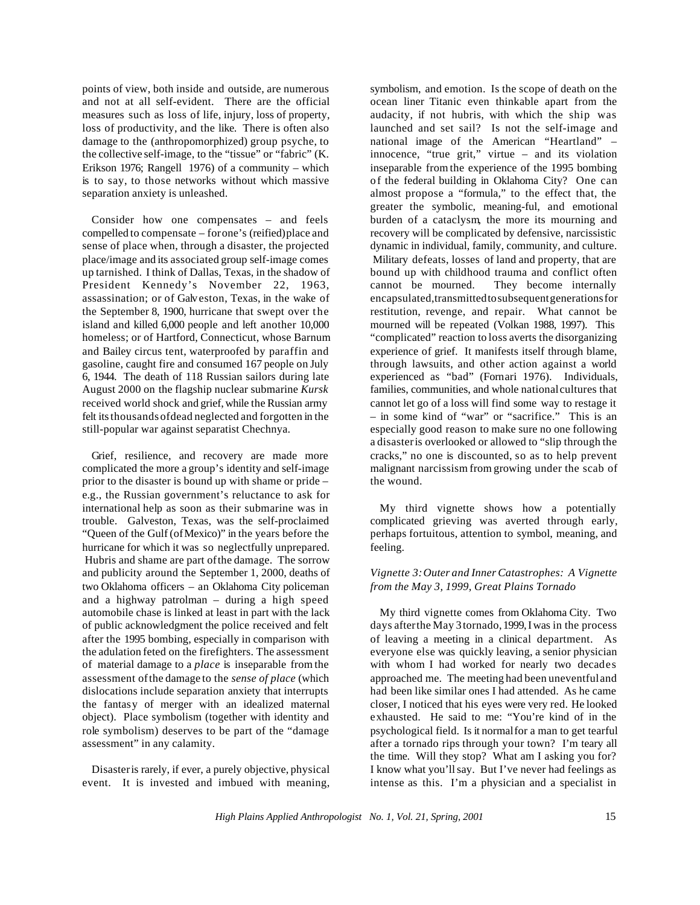points of view, both inside and outside, are numerous and not at all self-evident. There are the official measures such as loss of life, injury, loss of property, loss of productivity, and the like. There is often also damage to the (anthropomorphized) group psyche, to the collective self-image, to the "tissue" or "fabric" (K. Erikson 1976; Rangell 1976) of a community – which is to say, to those networks without which massive separation anxiety is unleashed.

Consider how one compensates – and feels compelled to compensate – forone's (reified)place and sense of place when, through a disaster, the projected place/image and its associated group self-image comes up tarnished. I think of Dallas, Texas, in the shadow of President Kennedy's November 22, 1963, assassination; or of Galveston, Texas, in the wake of the September 8, 1900, hurricane that swept over the island and killed 6,000 people and left another 10,000 homeless; or of Hartford, Connecticut, whose Barnum and Bailey circus tent, waterproofed by paraffin and gasoline, caught fire and consumed 167 people on July 6, 1944. The death of 118 Russian sailors during late August 2000 on the flagship nuclear submarine *Kursk* received world shock and grief,while the Russian army felt itsthousandsofdead neglected and forgotten in the still-popular war against separatist Chechnya.

Grief, resilience, and recovery are made more complicated the more a group's identity and self-image prior to the disaster is bound up with shame or pride – e.g., the Russian government's reluctance to ask for international help as soon as their submarine was in trouble. Galveston, Texas, was the self-proclaimed "Queen of the Gulf(ofMexico)" in the years before the hurricane for which it was so neglectfully unprepared. Hubris and shame are part ofthe damage. The sorrow and publicity around the September 1, 2000, deaths of two Oklahoma officers – an Oklahoma City policeman and a highway patrolman – during a high speed automobile chase is linked at least in part with the lack of public acknowledgment the police received and felt after the 1995 bombing, especially in comparison with the adulation feted on the firefighters. The assessment of material damage to a *place* is inseparable from the assessment ofthe damage to the *sense of place* (which dislocations include separation anxiety that interrupts the fantasy of merger with an idealized maternal object). Place symbolism (together with identity and role symbolism) deserves to be part of the "damage assessment" in any calamity.

Disasteris rarely, if ever, a purely objective, physical event. It is invested and imbued with meaning,

symbolism, and emotion. Is the scope of death on the ocean liner Titanic even thinkable apart from the audacity, if not hubris, with which the ship was launched and set sail? Is not the self-image and national image of the American "Heartland" – innocence, "true grit," virtue – and its violation inseparable from the experience of the 1995 bombing of the federal building in Oklahoma City? One can almost propose a "formula," to the effect that, the greater the symbolic, meaning-ful, and emotional burden of a cataclysm, the more its mourning and recovery will be complicated by defensive, narcissistic dynamic in individual, family, community, and culture. Military defeats, losses of land and property, that are bound up with childhood trauma and conflict often cannot be mourned. They become internally encapsulated, transmitted to subsequent generations for restitution, revenge, and repair. What cannot be mourned will be repeated (Volkan 1988, 1997). This "complicated" reaction to loss averts the disorganizing experience of grief. It manifests itself through blame, through lawsuits, and other action against a world experienced as "bad" (Fornari 1976). Individuals, families, communities, and whole nationalcultures that cannot let go of a loss will find some way to restage it – in some kind of "war" or "sacrifice." This is an especially good reason to make sure no one following a disasteris overlooked or allowed to "slip through the cracks," no one is discounted, so as to help prevent malignant narcissism from growing under the scab of the wound.

My third vignette shows how a potentially complicated grieving was averted through early, perhaps fortuitous, attention to symbol, meaning, and feeling.

# *Vignette 3:Outer and Inner Catastrophes: A Vignette from the May 3, 1999, Great Plains Tornado*

My third vignette comes from Oklahoma City. Two days afterthe May 3tornado,1999,Iwas in the process of leaving a meeting in a clinical department. As everyone else was quickly leaving, a senior physician with whom I had worked for nearly two decades approached me. The meeting had been uneventfuland had been like similar ones I had attended. As he came closer, I noticed that his eyes were very red. He looked exhausted. He said to me: "You're kind of in the psychological field. Is it normalfor a man to get tearful after a tornado rips through your town? I'm teary all the time. Will they stop? What am I asking you for? I know what you'llsay. But I've never had feelings as intense as this. I'm a physician and a specialist in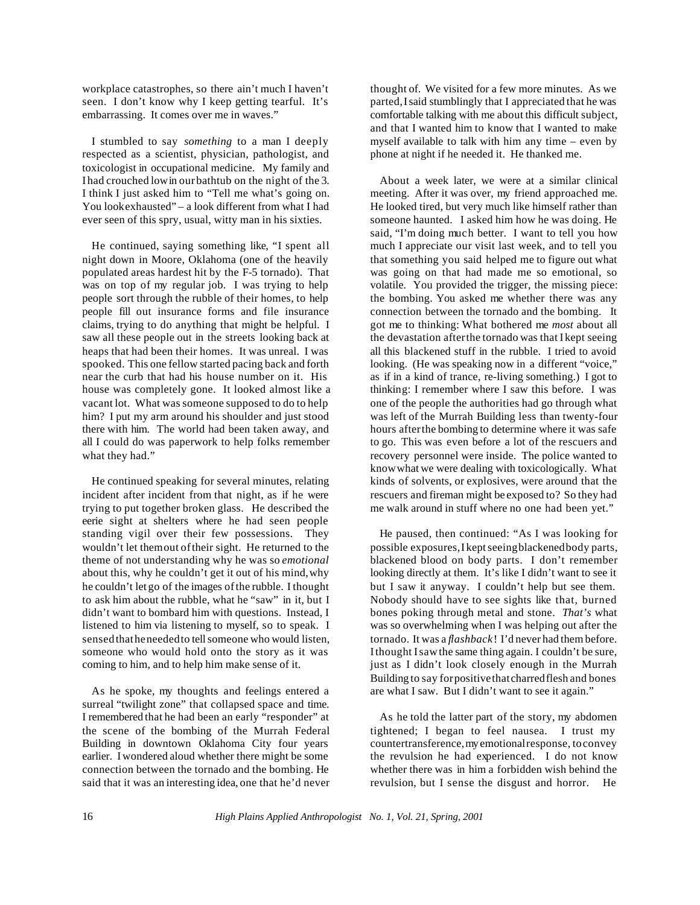workplace catastrophes, so there ain't much I haven't seen. I don't know why I keep getting tearful. It's embarrassing. It comes over me in waves."

I stumbled to say *something* to a man I deeply respected as a scientist, physician, pathologist, and toxicologist in occupational medicine. My family and I had crouched lowin ourbathtub on the night of the 3. I think I just asked him to "Tell me what's going on. You lookexhausted" – a look different from what I had ever seen of this spry, usual, witty man in his sixties.

He continued, saying something like, "I spent all night down in Moore, Oklahoma (one of the heavily populated areas hardest hit by the F-5 tornado). That was on top of my regular job. I was trying to help people sort through the rubble of their homes, to help people fill out insurance forms and file insurance claims, trying to do anything that might be helpful. I saw all these people out in the streets looking back at heaps that had been their homes. It was unreal. I was spooked. This one fellow started pacing back and forth near the curb that had his house number on it. His house was completely gone. It looked almost like a vacant lot. What was someone supposed to do to help him? I put my arm around his shoulder and just stood there with him. The world had been taken away, and all I could do was paperwork to help folks remember what they had."

He continued speaking for several minutes, relating incident after incident from that night, as if he were trying to put together broken glass. He described the eerie sight at shelters where he had seen people standing vigil over their few possessions. They wouldn't let themout of their sight. He returned to the theme of not understanding why he was so *emotional* about this, why he couldn't get it out of his mind,why he couldn't let go of the images ofthe rubble. I thought to ask him about the rubble, what he "saw" in it, but I didn't want to bombard him with questions. Instead, I listened to him via listening to myself, so to speak. I sensedthatheneededto tellsomeone who would listen, someone who would hold onto the story as it was coming to him, and to help him make sense of it.

As he spoke, my thoughts and feelings entered a surreal "twilight zone" that collapsed space and time. I remembered that he had been an early "responder" at the scene of the bombing of the Murrah Federal Building in downtown Oklahoma City four years earlier. Iwondered aloud whether there might be some connection between the tornado and the bombing. He said that it was an interesting idea, one that he'd never thought of. We visited for a few more minutes. As we parted,Isaid stumblingly that I appreciated that he was comfortable talking with me about this difficult subject, and that I wanted him to know that I wanted to make myself available to talk with him any time – even by phone at night if he needed it. He thanked me.

About a week later, we were at a similar clinical meeting. After it was over, my friend approached me. He looked tired, but very much like himself rather than someone haunted. I asked him how he was doing. He said, "I'm doing much better. I want to tell you how much I appreciate our visit last week, and to tell you that something you said helped me to figure out what was going on that had made me so emotional, so volatile. You provided the trigger, the missing piece: the bombing. You asked me whether there was any connection between the tornado and the bombing. It got me to thinking: What bothered me *most* about all the devastation afterthe tornado was that I kept seeing all this blackened stuff in the rubble. I tried to avoid looking. (He was speaking now in a different "voice," as if in a kind of trance, re-living something.) I got to thinking: I remember where I saw this before. I was one of the people the authorities had go through what was left of the Murrah Building less than twenty-four hours afterthe bombing to determine where it was safe to go. This was even before a lot of the rescuers and recovery personnel were inside. The police wanted to knowwhat we were dealing with toxicologically. What kinds of solvents, or explosives, were around that the rescuers and fireman might be exposed to? So they had me walk around in stuff where no one had been yet."

He paused, then continued: "As I was looking for possible exposures, I kept seeing blackened body parts, blackened blood on body parts. I don't remember looking directly at them. It's like I didn't want to see it but I saw it anyway. I couldn't help but see them. Nobody should have to see sights like that, burned bones poking through metal and stone. *That's* what was so overwhelming when I was helping out after the tornado. It was a *flashback*! I'd never had them before. Ithought Isawthe same thing again. I couldn't be sure, just as I didn't look closely enough in the Murrah Building to say forpositivethatcharredflesh and bones are what I saw. But I didn't want to see it again."

As he told the latter part of the story, my abdomen tightened; I began to feel nausea. I trust my countertransference,my emotionalresponse, toconvey the revulsion he had experienced. I do not know whether there was in him a forbidden wish behind the revulsion, but I sense the disgust and horror. He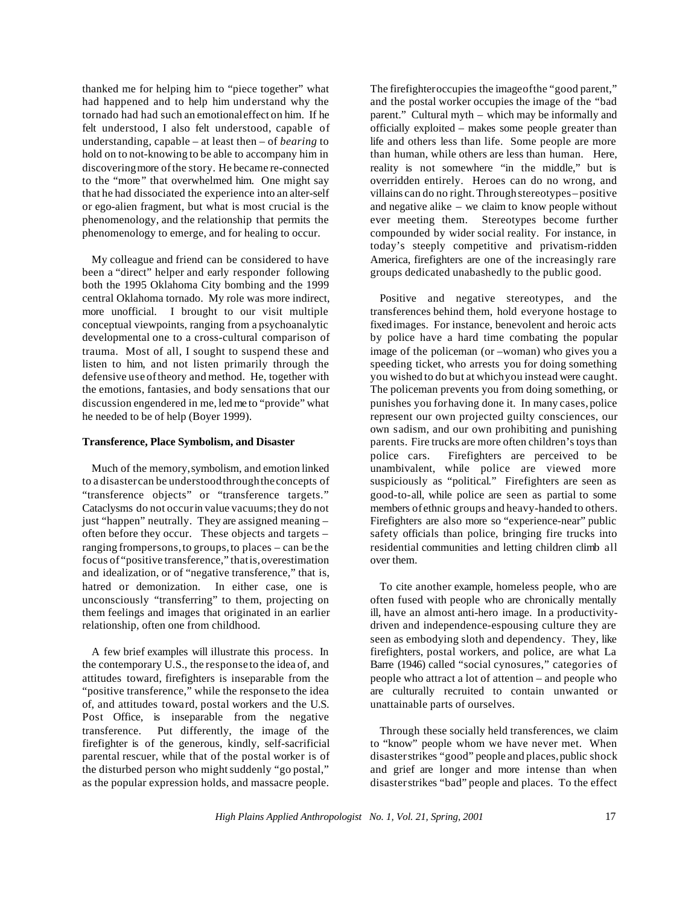thanked me for helping him to "piece together" what had happened and to help him understand why the tornado had had such an emotionaleffect on him. If he felt understood, I also felt understood, capable of understanding, capable – at least then – of *bearing* to hold on to not-knowing to be able to accompany him in discoveringmore ofthe story. He became re-connected to the "more" that overwhelmed him. One might say that he had dissociated the experience into an alter-self or ego-alien fragment, but what is most crucial is the phenomenology, and the relationship that permits the phenomenology to emerge, and for healing to occur.

My colleague and friend can be considered to have been a "direct" helper and early responder following both the 1995 Oklahoma City bombing and the 1999 central Oklahoma tornado. My role was more indirect, more unofficial. I brought to our visit multiple conceptual viewpoints, ranging from a psychoanalytic developmental one to a cross-cultural comparison of trauma. Most of all, I sought to suspend these and listen to him, and not listen primarily through the defensive use oftheory and method. He, together with the emotions, fantasies, and body sensations that our discussion engendered in me, led me to "provide" what he needed to be of help (Boyer 1999).

#### **Transference, Place Symbolism, and Disaster**

Much of the memory,symbolism, and emotion linked to a disastercan be understoodthroughtheconcepts of "transference objects" or "transference targets." Cataclysms do not occurin value vacuums;they do not just "happen" neutrally. They are assigned meaning – often before they occur. These objects and targets – ranging frompersons,to groups,to places – can be the focus of "positive transference," thatis,overestimation and idealization, or of "negative transference," that is, hatred or demonization. In either case, one is unconsciously "transferring" to them, projecting on them feelings and images that originated in an earlier relationship, often one from childhood.

A few brief examples will illustrate this process. In the contemporary U.S., the response to the idea of, and attitudes toward, firefighters is inseparable from the "positive transference," while the responseto the idea of, and attitudes toward, postal workers and the U.S. Post Office, is inseparable from the negative transference. Put differently, the image of the firefighter is of the generous, kindly, self-sacrificial parental rescuer, while that of the postal worker is of the disturbed person who might suddenly "go postal," as the popular expression holds, and massacre people.

The firefighteroccupies the imageofthe "good parent," and the postal worker occupies the image of the "bad parent." Cultural myth – which may be informally and officially exploited – makes some people greater than life and others less than life. Some people are more than human, while others are less than human. Here, reality is not somewhere "in the middle," but is overridden entirely. Heroes can do no wrong, and villains can do no right. Through stereotypes – positive and negative alike – we claim to know people without ever meeting them. Stereotypes become further compounded by wider social reality. For instance, in today's steeply competitive and privatism-ridden America, firefighters are one of the increasingly rare groups dedicated unabashedly to the public good.

Positive and negative stereotypes, and the transferences behind them, hold everyone hostage to fixed images. For instance, benevolent and heroic acts by police have a hard time combating the popular image of the policeman (or –woman) who gives you a speeding ticket, who arrests you for doing something you wished to do but at whichyou instead were caught. The policeman prevents you from doing something, or punishes you forhaving done it. In many cases,police represent our own projected guilty consciences, our own sadism, and our own prohibiting and punishing parents. Fire trucks are more often children's toys than police cars. Firefighters are perceived to be unambivalent, while police are viewed more suspiciously as "political." Firefighters are seen as good-to-all, while police are seen as partial to some members of ethnic groups and heavy-handed to others. Firefighters are also more so "experience-near" public safety officials than police, bringing fire trucks into residential communities and letting children climb all over them.

To cite another example, homeless people, who are often fused with people who are chronically mentally ill, have an almost anti-hero image. In a productivitydriven and independence-espousing culture they are seen as embodying sloth and dependency. They, like firefighters, postal workers, and police, are what La Barre (1946) called "social cynosures," categories of people who attract a lot of attention – and people who are culturally recruited to contain unwanted or unattainable parts of ourselves.

Through these socially held transferences, we claim to "know" people whom we have never met. When disasterstrikes "good" people and places,public shock and grief are longer and more intense than when disasterstrikes "bad" people and places. To the effect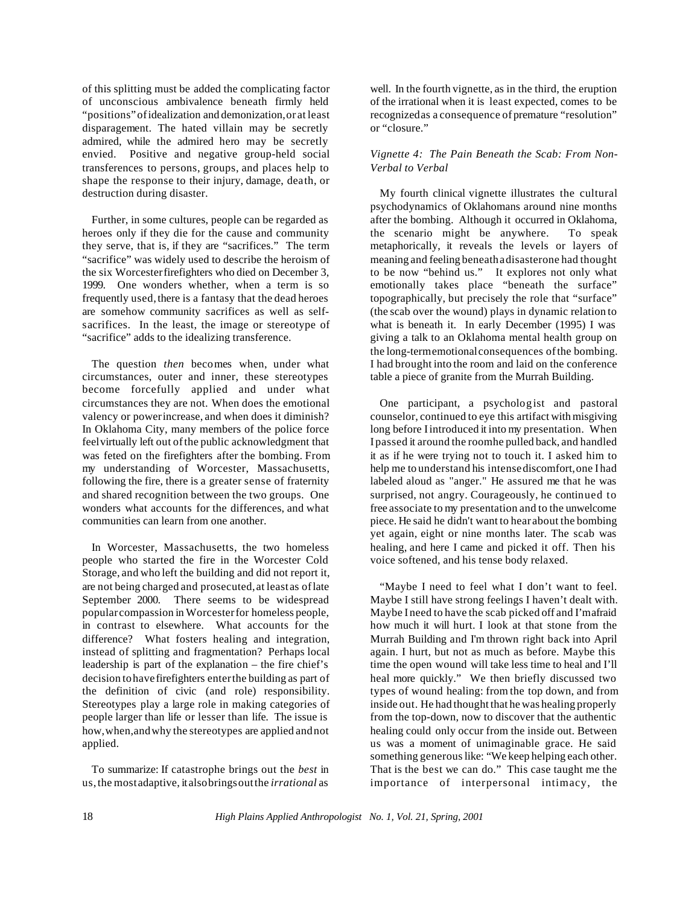of this splitting must be added the complicating factor of unconscious ambivalence beneath firmly held "positions"ofidealization and demonization,or at least disparagement. The hated villain may be secretly admired, while the admired hero may be secretly envied. Positive and negative group-held social transferences to persons, groups, and places help to shape the response to their injury, damage, death, or destruction during disaster.

Further, in some cultures, people can be regarded as heroes only if they die for the cause and community they serve, that is, if they are "sacrifices." The term "sacrifice" was widely used to describe the heroism of the six Worcesterfirefighters who died on December 3, 1999. One wonders whether, when a term is so frequently used, there is a fantasy that the dead heroes are somehow community sacrifices as well as selfsacrifices. In the least, the image or stereotype of "sacrifice" adds to the idealizing transference.

The question *then* becomes when, under what circumstances, outer and inner, these stereotypes become forcefully applied and under what circumstances they are not. When does the emotional valency or powerincrease, and when does it diminish? In Oklahoma City, many members of the police force feelvirtually left out ofthe public acknowledgment that was feted on the firefighters after the bombing. From my understanding of Worcester, Massachusetts, following the fire, there is a greater sense of fraternity and shared recognition between the two groups. One wonders what accounts for the differences, and what communities can learn from one another.

In Worcester, Massachusetts, the two homeless people who started the fire in the Worcester Cold Storage, and who left the building and did not report it, are not being charged and prosecuted,at leastas oflate September 2000. There seems to be widespread popularcompassion in Worcesterfor homeless people, in contrast to elsewhere. What accounts for the difference? What fosters healing and integration, instead of splitting and fragmentation? Perhaps local leadership is part of the explanation – the fire chief's decision tohavefirefighters enterthe building as part of the definition of civic (and role) responsibility. Stereotypes play a large role in making categories of people larger than life or lesser than life. The issue is how,when,andwhy the stereotypes are applied andnot applied.

To summarize: If catastrophe brings out the *best* in us,the mostadaptive, italsobringsoutthe *irrational* as well. In the fourth vignette, as in the third, the eruption of the irrational when it is least expected, comes to be recognized as a consequence of premature "resolution" or "closure."

# *Vignette 4: The Pain Beneath the Scab: From Non-Verbal to Verbal*

My fourth clinical vignette illustrates the cultural psychodynamics of Oklahomans around nine months after the bombing. Although it occurred in Oklahoma, the scenario might be anywhere. To speak metaphorically, it reveals the levels or layers of meaning and feeling beneathadisasterone had thought to be now "behind us." It explores not only what emotionally takes place "beneath the surface" topographically, but precisely the role that "surface" (the scab over the wound) plays in dynamic relation to what is beneath it. In early December (1995) I was giving a talk to an Oklahoma mental health group on the long-termemotionalconsequences ofthe bombing. I had brought into the room and laid on the conference table a piece of granite from the Murrah Building.

One participant, a psychologist and pastoral counselor, continued to eye this artifact withmisgiving long before Iintroduced it into my presentation. When I passed it around the roomhe pulled back, and handled it as if he were trying not to touch it. I asked him to help me to understand his intensediscomfort,one I had labeled aloud as "anger." He assured me that he was surprised, not angry. Courageously, he continued to free associate to my presentation and to the unwelcome piece. He said he didn't want to hearabout the bombing yet again, eight or nine months later. The scab was healing, and here I came and picked it off. Then his voice softened, and his tense body relaxed.

"Maybe I need to feel what I don't want to feel. Maybe I still have strong feelings I haven't dealt with. Maybe I need to have the scab picked off and I'mafraid how much it will hurt. I look at that stone from the Murrah Building and I'm thrown right back into April again. I hurt, but not as much as before. Maybe this time the open wound will take less time to heal and I'll heal more quickly." We then briefly discussed two types of wound healing: from the top down, and from inside out. He had thought that he was healing properly from the top-down, now to discover that the authentic healing could only occur from the inside out. Between us was a moment of unimaginable grace. He said something generous like: "We keep helping each other. That is the best we can do." This case taught me the importance of interpersonal intimacy, the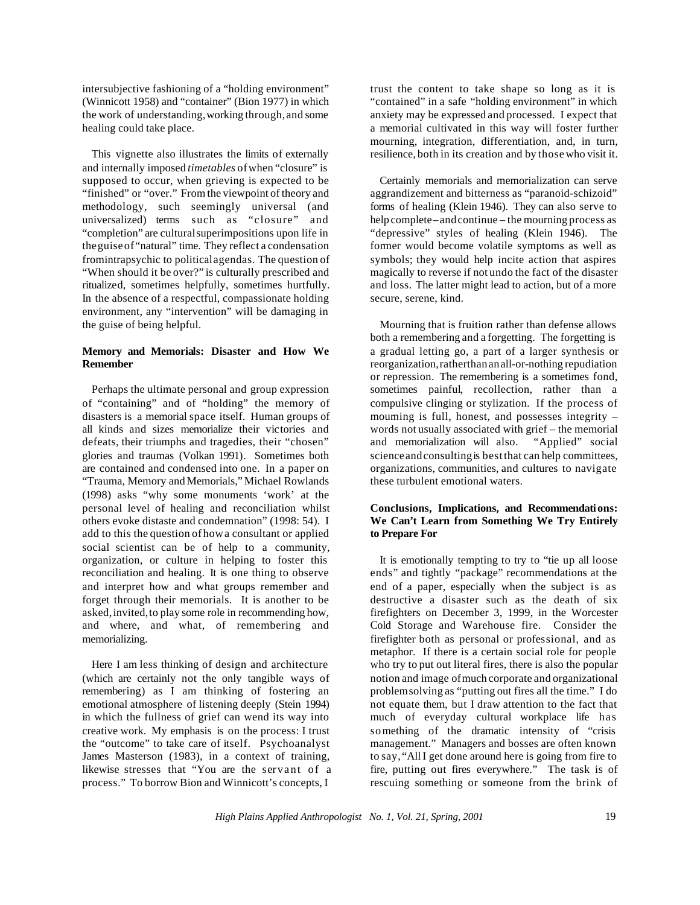intersubjective fashioning of a "holding environment" (Winnicott 1958) and "container" (Bion 1977) in which the work of understanding,working through,and some healing could take place.

This vignette also illustrates the limits of externally and internally imposed *timetables* ofwhen "closure" is supposed to occur, when grieving is expected to be "finished" or "over." From the viewpoint of theory and methodology, such seemingly universal (and universalized) terms such as "closure" and "completion" are culturalsuperimpositions upon life in theguiseof "natural" time. They reflect a condensation fromintrapsychic to politicalagendas. The question of "When should it be over?" is culturally prescribed and ritualized, sometimes helpfully, sometimes hurtfully. In the absence of a respectful, compassionate holding environment, any "intervention" will be damaging in the guise of being helpful.

# **Memory and Memorials: Disaster and How We Remember**

Perhaps the ultimate personal and group expression of "containing" and of "holding" the memory of disasters is a memorial space itself. Human groups of all kinds and sizes memorialize their victories and defeats, their triumphs and tragedies, their "chosen" glories and traumas (Volkan 1991). Sometimes both are contained and condensed into one. In a paper on "Trauma, Memory and Memorials," Michael Rowlands (1998) asks "why some monuments 'work' at the personal level of healing and reconciliation whilst others evoke distaste and condemnation" (1998: 54). I add to this the question ofhowa consultant or applied social scientist can be of help to a community, organization, or culture in helping to foster this reconciliation and healing. It is one thing to observe and interpret how and what groups remember and forget through their memorials. It is another to be asked,invited,to play some role in recommending how, and where, and what, of remembering and memorializing.

Here I am less thinking of design and architecture (which are certainly not the only tangible ways of remembering) as I am thinking of fostering an emotional atmosphere of listening deeply (Stein 1994) in which the fullness of grief can wend its way into creative work. My emphasis is on the process: I trust the "outcome" to take care of itself. Psychoanalyst James Masterson (1983), in a context of training, likewise stresses that "You are the servant of a process." To borrow Bion and Winnicott's concepts, I

trust the content to take shape so long as it is "contained" in a safe "holding environment" in which anxiety may be expressed and processed. I expect that a memorial cultivated in this way will foster further mourning, integration, differentiation, and, in turn, resilience, both in its creation and by thosewho visit it.

Certainly memorials and memorialization can serve aggrandizement and bitterness as "paranoid-schizoid" forms of healing (Klein 1946). They can also serve to help complete–andcontinue – the mourning process as "depressive" styles of healing (Klein 1946). The former would become volatile symptoms as well as symbols; they would help incite action that aspires magically to reverse if not undo the fact of the disaster and loss. The latter might lead to action, but of a more secure, serene, kind.

Mourning that is fruition rather than defense allows both a remembering and a forgetting. The forgetting is a gradual letting go, a part of a larger synthesis or reorganization,ratherthananall-or-nothing repudiation or repression. The remembering is a sometimes fond, sometimes painful, recollection, rather than a compulsive clinging or stylization. If the process of mourning is full, honest, and possesses integrity – words not usually associated with grief – the memorial and memorialization will also. "Applied" social scienceandconsultingis bestthat can help committees, organizations, communities, and cultures to navigate these turbulent emotional waters.

# **Conclusions, Implications, and Recommendations: We Can't Learn from Something We Try Entirely to Prepare For**

It is emotionally tempting to try to "tie up all loose ends" and tightly "package" recommendations at the end of a paper, especially when the subject is as destructive a disaster such as the death of six firefighters on December 3, 1999, in the Worcester Cold Storage and Warehouse fire. Consider the firefighter both as personal or professional, and as metaphor. If there is a certain social role for people who try to put out literal fires, there is also the popular notion and image ofmuch corporate and organizational problemsolving as "putting out fires all the time." I do not equate them, but I draw attention to the fact that much of everyday cultural workplace life has something of the dramatic intensity of "crisis management." Managers and bosses are often known to say, "AllI get done around here is going from fire to fire, putting out fires everywhere." The task is of rescuing something or someone from the brink of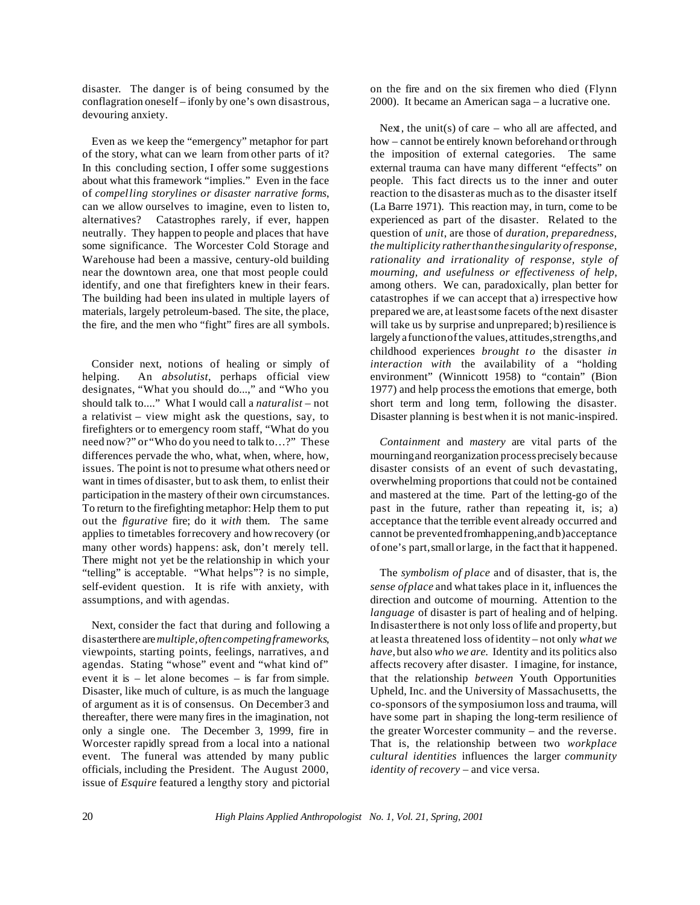disaster. The danger is of being consumed by the conflagration oneself – ifonly by one's own disastrous, devouring anxiety.

Even as we keep the "emergency" metaphor for part of the story, what can we learn from other parts of it? In this concluding section, I offer some suggestions about what this framework "implies." Even in the face of *compelling storylines or disaster narrative forms*, can we allow ourselves to imagine, even to listen to, alternatives? Catastrophes rarely, if ever, happen neutrally. They happen to people and places that have some significance. The Worcester Cold Storage and Warehouse had been a massive, century-old building near the downtown area, one that most people could identify, and one that firefighters knew in their fears. The building had been ins ulated in multiple layers of materials, largely petroleum-based. The site, the place, the fire, and the men who "fight" fires are all symbols.

Consider next, notions of healing or simply of helping. An *absolutist*, perhaps official view designates, "What you should do...," and "Who you should talk to...." What I would call a *naturalist* – not a relativist – view might ask the questions, say, to firefighters or to emergency room staff, "What do you need now?" or "Who do you need to talk to…?" These differences pervade the who, what, when, where, how, issues. The point is not to presume what others need or want in times of disaster, but to ask them, to enlist their participation in the mastery of their own circumstances. To return to the firefighting metaphor: Help them to put out the *figurative* fire; do it *with* them. The same applies to timetables forrecovery and howrecovery (or many other words) happens: ask, don't merely tell. There might not yet be the relationship in which your "telling" is acceptable. "What helps"? is no simple, self-evident question. It is rife with anxiety, with assumptions, and with agendas.

Next, consider the fact that during and following a disasterthere are*multiple,oftencompetingframeworks*, viewpoints, starting points, feelings, narratives, and agendas. Stating "whose" event and "what kind of" event it is – let alone becomes – is far from simple. Disaster, like much of culture, is as much the language of argument as it is of consensus. On December3 and thereafter, there were many fires in the imagination, not only a single one. The December 3, 1999, fire in Worcester rapidly spread from a local into a national event. The funeral was attended by many public officials, including the President. The August 2000, issue of *Esquire* featured a lengthy story and pictorial

on the fire and on the six firemen who died (Flynn 2000). It became an American saga – a lucrative one.

Next, the unit(s) of care – who all are affected, and how – cannot be entirely known beforehand orthrough the imposition of external categories. The same external trauma can have many different "effects" on people. This fact directs us to the inner and outer reaction to the disasteras much as to the disaster itself (La Barre 1971). This reaction may, in turn, come to be experienced as part of the disaster. Related to the question of *unit*, are those of *duration, preparedness, the multiplicity ratherthanthesingularity ofresponse, rationality and irrationality of response, style of mourning, and usefulness or effectiveness of help*, among others. We can, paradoxically, plan better for catastrophes if we can accept that a) irrespective how prepared we are, at leastsome facets ofthe next disaster will take us by surprise and unprepared; b) resilience is largely afunctionofthe values,attitudes,strengths,and childhood experiences *brought to* the disaster *in interaction with* the availability of a "holding environment" (Winnicott 1958) to "contain" (Bion 1977) and help processthe emotions that emerge, both short term and long term, following the disaster. Disaster planning is bestwhen it is not manic-inspired.

*Containment* and *mastery* are vital parts of the mourningand reorganization processprecisely because disaster consists of an event of such devastating, overwhelming proportions that could not be contained and mastered at the time. Part of the letting-go of the past in the future, rather than repeating it, is; a) acceptance that the terrible event already occurred and cannot be preventedfromhappening,andb)acceptance ofone's part,small orlarge, in the fact that it happened.

The *symbolism of place* and of disaster, that is, the *sense ofplace* and what takes place in it, influences the direction and outcome of mourning. Attention to the *language* of disaster is part of healing and of helping. Indisasterthere is not only loss oflife and property,but at leasta threatened loss ofidentity – not only *what we have*, but also *who we are.* Identity and its politics also affects recovery after disaster. I imagine, for instance, that the relationship *between* Youth Opportunities Upheld, Inc. and the University of Massachusetts, the co-sponsors of the symposiumon loss and trauma, will have some part in shaping the long-term resilience of the greater Worcester community – and the reverse. That is, the relationship between two *workplace cultural identities* influences the larger *community identity of recovery* – and vice versa.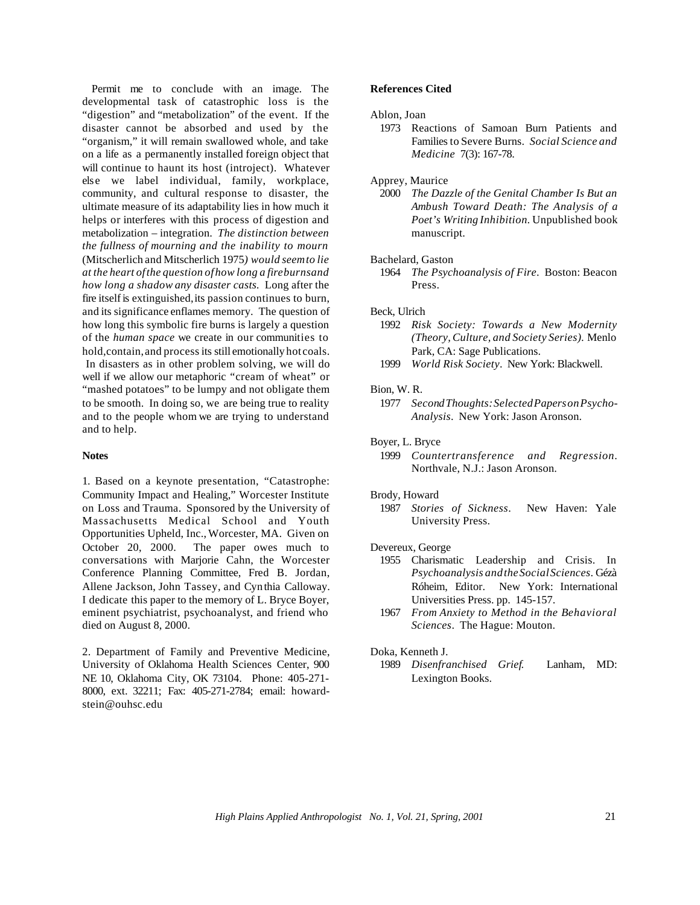Permit me to conclude with an image. The developmental task of catastrophic loss is the "digestion" and "metabolization" of the event. If the disaster cannot be absorbed and used by the "organism," it will remain swallowed whole, and take on a life as a permanently installed foreign object that will continue to haunt its host (introject). Whatever else we label individual, family, workplace, community, and cultural response to disaster, the ultimate measure of its adaptability lies in how much it helps or interferes with this process of digestion and metabolization – integration. *The distinction between the fullness of mourning and the inability to mourn* (Mitscherlich and Mitscherlich 1975*) would seemto lie at the heart ofthe question ofhow long a fireburnsand how long a shadow any disaster casts.* Long after the fire itselfis extinguished,its passion continues to burn, and its significance enflames memory. The question of how long this symbolic fire burns is largely a question of the *human space* we create in our communities to hold, contain, and process its still emotionally hot coals. In disasters as in other problem solving, we will do well if we allow our metaphoric "cream of wheat" or "mashed potatoes" to be lumpy and not obligate them to be smooth. In doing so, we are being true to reality and to the people whom we are trying to understand and to help.

### **Notes**

1. Based on a keynote presentation, "Catastrophe: Community Impact and Healing," Worcester Institute on Loss and Trauma. Sponsored by the University of Massachusetts Medical School and Youth Opportunities Upheld, Inc., Worcester, MA. Given on October 20, 2000. The paper owes much to conversations with Marjorie Cahn, the Worcester Conference Planning Committee, Fred B. Jordan, Allene Jackson, John Tassey, and Cynthia Calloway. I dedicate this paper to the memory of L. Bryce Boyer, eminent psychiatrist, psychoanalyst, and friend who died on August 8, 2000.

2. Department of Family and Preventive Medicine, University of Oklahoma Health Sciences Center, 900 NE 10, Oklahoma City, OK 73104. Phone: 405-271- 8000, ext. 32211; Fax: 405-271-2784; email: howardstein@ouhsc.edu

# **References Cited**

### Ablon, Joan

1973 Reactions of Samoan Burn Patients and Families to Severe Burns. *Social Science and Medicine* 7(3): 167-78.

#### Apprey, Maurice

2000 *The Dazzle of the Genital Chamber Is But an Ambush Toward Death: The Analysis of a Poet's Writing Inhibition.* Unpublished book manuscript.

#### Bachelard, Gaston

1964 *The Psychoanalysis of Fire*. Boston: Beacon Press.

#### Beck, Ulrich

- 1992 *Risk Society: Towards a New Modernity (Theory, Culture, and Society Series).* Menlo Park, CA: Sage Publications.
- 1999 *World Risk Society*. New York: Blackwell.

### Bion, W. R.

1977 *SecondThoughts:SelectedPapersonPsycho-Analysis*. New York: Jason Aronson.

#### Boyer, L. Bryce

1999 *Countertransference and Regression*. Northvale, N.J.: Jason Aronson.

### Brody, Howard

1987 *Stories of Sickness*. New Haven: Yale University Press.

#### Devereux, George

- 1955 Charismatic Leadership and Crisis. In *Psychoanalysis andtheSocialSciences*. Gézà Róheim, Editor. New York: International Universities Press. pp. 145-157.
- 1967 *From Anxiety to Method in the Behavioral Sciences*. The Hague: Mouton.

#### Doka, Kenneth J.

1989 *Disenfranchised Grief*. Lanham, MD: Lexington Books.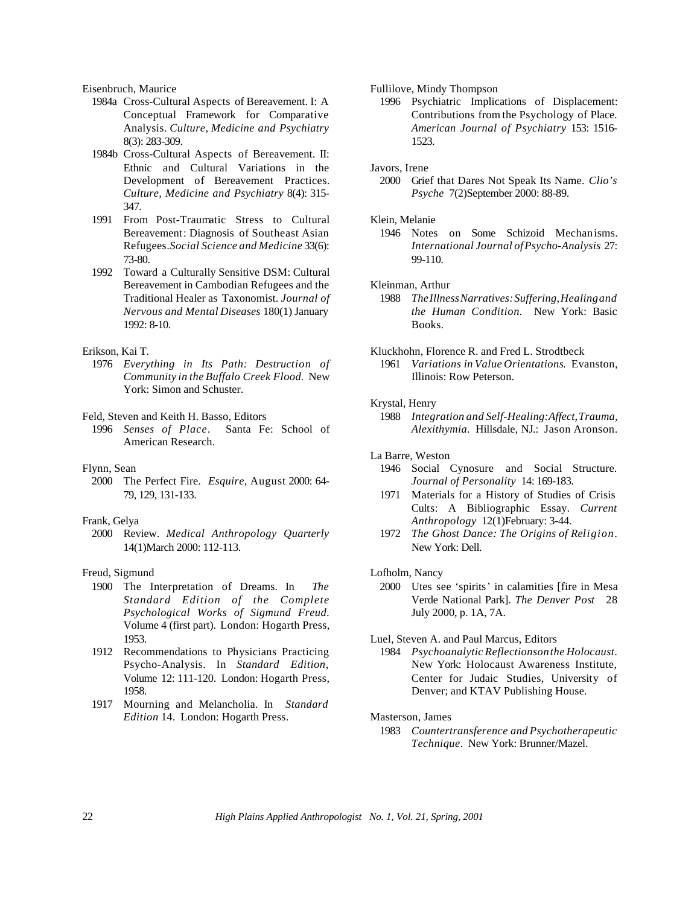Eisenbruch, Maurice

- 1984a Cross-Cultural Aspects of Bereavement. I: A Conceptual Framework for Comparative Analysis. *Culture, Medicine and Psychiatry* 8(3): 283-309.
- 1984b Cross-Cultural Aspects of Bereavement. II: Ethnic and Cultural Variations in the Development of Bereavement Practices. *Culture, Medicine and Psychiatry* 8(4): 315- 347.
- 1991 From Post-Traumatic Stress to Cultural Bereavement: Diagnosis of Southeast Asian Refugees.*Social Science and Medicine* 33(6): 73-80.
- 1992 Toward a Culturally Sensitive DSM: Cultural Bereavement in Cambodian Refugees and the Traditional Healer as Taxonomist. *Journal of Nervous and Mental Diseases* 180(1) January 1992: 8-10.

# Erikson, Kai T.

1976 *Everything in Its Path: Destruction of Community in the Buffalo Creek Flood.* New York: Simon and Schuster.

Feld, Steven and Keith H. Basso, Editors

1996 *Senses of Place*. Santa Fe: School of American Research.

Flynn, Sean

2000 The Perfect Fire. *Esquire*, August 2000: 64- 79, 129, 131-133.

#### Frank, Gelya

2000 Review. *Medical Anthropology Quarterly* 14(1)March 2000: 112-113.

### Freud, Sigmund

- 1900 The Interpretation of Dreams. In *The Standard Edition of the Complete Psychological Works of Sigmund Freud*. Volume 4 (first part). London: Hogarth Press, 1953.
- 1912 Recommendations to Physicians Practicing Psycho-Analysis. In *Standard Edition*, Volume 12: 111-120. London: Hogarth Press, 1958.
- 1917 Mourning and Melancholia. In *Standard Edition* 14. London: Hogarth Press.

Fullilove, Mindy Thompson

1996 Psychiatric Implications of Displacement: Contributions from the Psychology of Place. *American Journal of Psychiatry* 153: 1516- 1523.

Javors, Irene

2000 Grief that Dares Not Speak Its Name. *Clio's Psyche* 7(2)September 2000: 88-89.

### Klein, Melanie

1946 Notes on Some Schizoid Mechanisms. *International Journal ofPsycho-Analysis* 27: 99-110.

#### Kleinman, Arthur

1988 *TheIllnessNarratives:Suffering,Healingand the Human Condition.* New York: Basic Books.

Kluckhohn, Florence R. and Fred L. Strodtbeck

1961 *Variations in Value Orientations*. Evanston, Illinois: Row Peterson.

#### Krystal, Henry

1988 *Integration and Self-Healing:Affect,Trauma, Alexithymia*. Hillsdale, NJ.: Jason Aronson.

#### La Barre, Weston

- 1946 Social Cynosure and Social Structure. *Journal of Personality* 14: 169-183.
- 1971 Materials for a History of Studies of Crisis Cults: A Bibliographic Essay. *Current Anthropology* 12(1)February: 3-44.
- 1972 *The Ghost Dance: The Origins of Religion*. New York: Dell.

### Lofholm, Nancy

2000 Utes see 'spirits' in calamities [fire in Mesa Verde National Park]. *The Denver Post* 28 July 2000, p. 1A, 7A.

## Luel, Steven A. and Paul Marcus, Editors

1984 *Psychoanalytic Reflectionsonthe Holocaust*. New York: Holocaust Awareness Institute, Center for Judaic Studies, University of Denver; and KTAV Publishing House.

### Masterson, James

1983 *Countertransference and Psychotherapeutic Technique*. New York: Brunner/Mazel.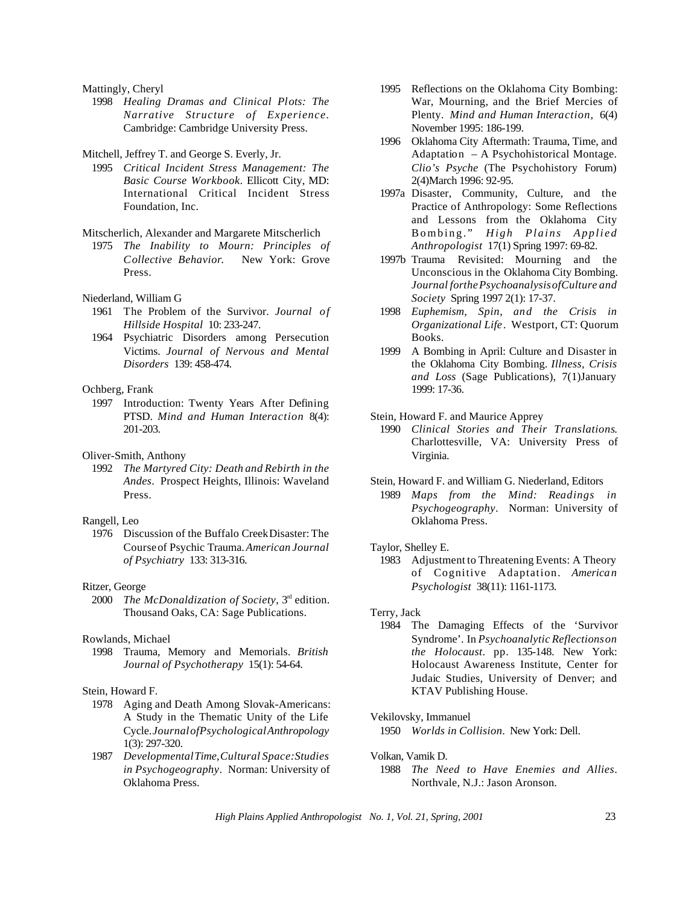Mattingly, Cheryl

1998 *Healing Dramas and Clinical Plots: The Narrative Structure of Experience.* Cambridge: Cambridge University Press.

Mitchell, Jeffrey T. and George S. Everly, Jr.

1995 *Critical Incident Stress Management: The Basic Course Workbook.* Ellicott City, MD: International Critical Incident Stress Foundation, Inc.

Mitscherlich, Alexander and Margarete Mitscherlich

1975 *The Inability to Mourn: Principles of Collective Behavior*. New York: Grove Press.

Niederland, William G

- 1961 The Problem of the Survivor. *Journal of Hillside Hospital* 10: 233-247.
- 1964 Psychiatric Disorders among Persecution Victims. *Journal of Nervous and Mental Disorders* 139: 458-474.

## Ochberg, Frank

1997 Introduction: Twenty Years After Defining PTSD. *Mind and Human Interaction* 8(4): 201-203.

Oliver-Smith, Anthony

1992 *The Martyred City: Death and Rebirth in the Andes*. Prospect Heights, Illinois: Waveland Press.

Rangell, Leo

1976 Discussion of the Buffalo CreekDisaster: The Courseof Psychic Trauma.*American Journal of Psychiatry* 133: 313-316.

Ritzer, George

2000 *The McDonaldization of Society*, 3 rd edition. Thousand Oaks, CA: Sage Publications.

Rowlands, Michael

1998 Trauma, Memory and Memorials. *British Journal of Psychotherapy* 15(1): 54-64.

Stein, Howard F.

- 1978 Aging and Death Among Slovak-Americans: A Study in the Thematic Unity of the Life Cycle.*JournalofPsychologicalAnthropology* 1(3): 297-320.
- 1987 *DevelopmentalTime,Cultural Space:Studies in Psychogeography*. Norman: University of Oklahoma Press.
- 1995 Reflections on the Oklahoma City Bombing: War, Mourning, and the Brief Mercies of Plenty. *Mind and Human Interaction*, 6(4) November 1995: 186-199.
- 1996 Oklahoma City Aftermath: Trauma, Time, and Adaptation – A Psychohistorical Montage. *Clio's Psyche* (The Psychohistory Forum) 2(4)March 1996: 92-95.
- 1997a Disaster, Community, Culture, and the Practice of Anthropology: Some Reflections and Lessons from the Oklahoma City Bombing." *High Plains Applied Anthropologist* 17(1) Spring 1997: 69-82.
- 1997b Trauma Revisited: Mourning and the Unconscious in the Oklahoma City Bombing. *Journal forthePsychoanalysisofCulture and Society* Spring 1997 2(1): 17-37.
- 1998 *Euphemism, Spin, and the Crisis in Organizational Life*. Westport, CT: Quorum Books.
- 1999 A Bombing in April: Culture and Disaster in the Oklahoma City Bombing. *Illness, Crisis and Loss* (Sage Publications), 7(1)January 1999: 17-36.

Stein, Howard F. and Maurice Apprey

- 1990 *Clinical Stories and Their Translations*. Charlottesville, VA: University Press of Virginia.
- Stein, Howard F. and William G. Niederland, Editors
	- 1989 *Maps from the Mind: Readings in Psychogeography*. Norman: University of Oklahoma Press.

# Taylor, Shelley E.

1983 Adjustment to Threatening Events: A Theory of Cognitive Adaptation. *American Psychologist* 38(11): 1161-1173.

Terry, Jack

1984 The Damaging Effects of the 'Survivor Syndrome'. In *Psychoanalytic Reflectionson the Holocaust*. pp. 135-148. New York: Holocaust Awareness Institute, Center for Judaic Studies, University of Denver; and KTAV Publishing House.

Vekilovsky, Immanuel 1950 *Worlds in Collision*. New York: Dell.

- Volkan, Vamik D.
	- 1988 *The Need to Have Enemies and Allies*. Northvale, N.J.: Jason Aronson.

*High Plains Applied Anthropologist No. 1, Vol. 21, Spring, 2001* 23